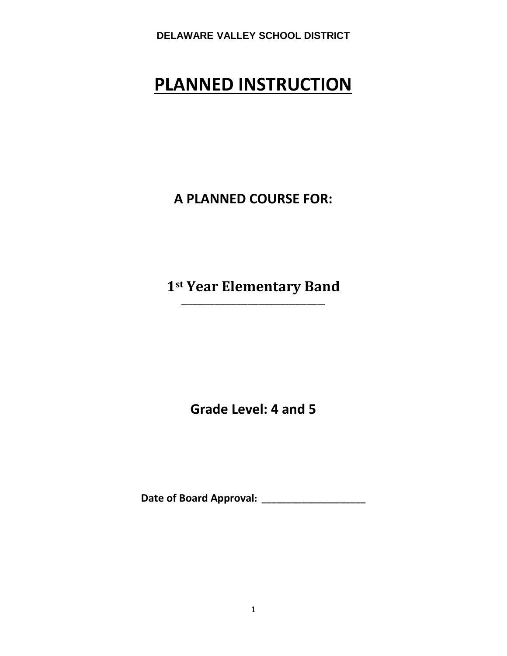# **PLANNED INSTRUCTION**

**A PLANNED COURSE FOR:**

**1st Year Elementary Band \_\_\_\_\_\_\_\_\_\_\_\_\_\_\_\_\_\_\_\_\_\_\_\_\_\_\_\_\_\_\_\_\_\_\_\_\_\_\_**

**Grade Level: 4 and 5**

**Date of Board Approval: \_\_\_\_\_\_\_\_\_\_\_\_\_\_\_\_\_\_\_\_\_**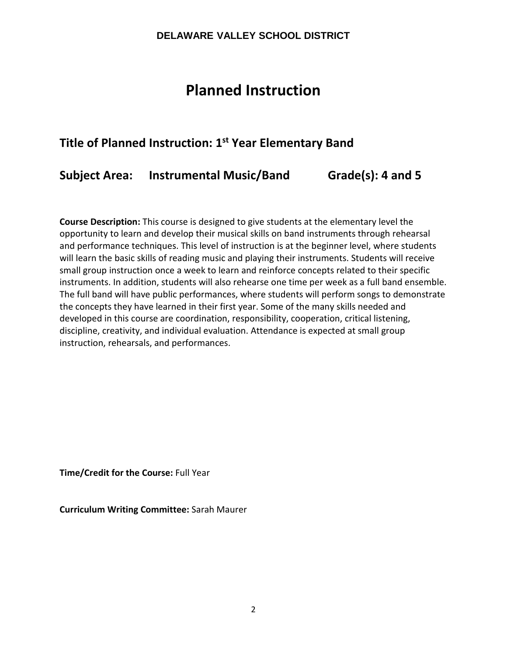# **Planned Instruction**

# **Title of Planned Instruction: 1st Year Elementary Band**

# **Subject Area: Instrumental Music/Band Grade(s): 4 and 5**

**Course Description:** This course is designed to give students at the elementary level the opportunity to learn and develop their musical skills on band instruments through rehearsal and performance techniques. This level of instruction is at the beginner level, where students will learn the basic skills of reading music and playing their instruments. Students will receive small group instruction once a week to learn and reinforce concepts related to their specific instruments. In addition, students will also rehearse one time per week as a full band ensemble. The full band will have public performances, where students will perform songs to demonstrate the concepts they have learned in their first year. Some of the many skills needed and developed in this course are coordination, responsibility, cooperation, critical listening, discipline, creativity, and individual evaluation. Attendance is expected at small group instruction, rehearsals, and performances.

**Time/Credit for the Course:** Full Year

**Curriculum Writing Committee:** Sarah Maurer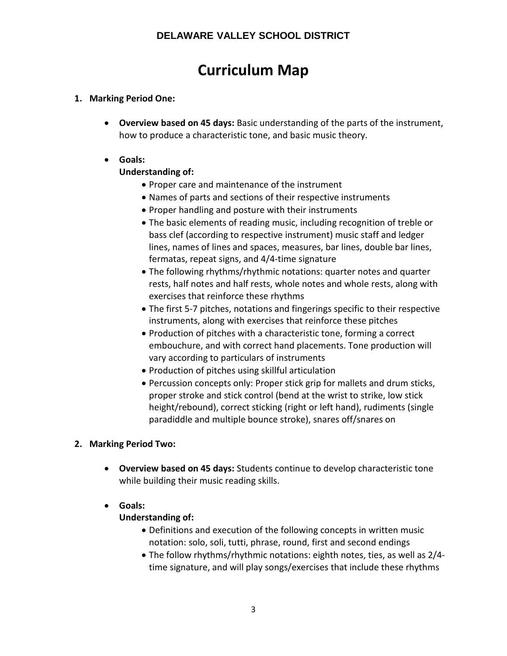# **Curriculum Map**

# **1. Marking Period One:**

• **Overview based on 45 days:** Basic understanding of the parts of the instrument, how to produce a characteristic tone, and basic music theory.

# • **Goals:**

# **Understanding of:**

- Proper care and maintenance of the instrument
- Names of parts and sections of their respective instruments
- Proper handling and posture with their instruments
- The basic elements of reading music, including recognition of treble or bass clef (according to respective instrument) music staff and ledger lines, names of lines and spaces, measures, bar lines, double bar lines, fermatas, repeat signs, and 4/4-time signature
- The following rhythms/rhythmic notations: quarter notes and quarter rests, half notes and half rests, whole notes and whole rests, along with exercises that reinforce these rhythms
- The first 5-7 pitches, notations and fingerings specific to their respective instruments, along with exercises that reinforce these pitches
- Production of pitches with a characteristic tone, forming a correct embouchure, and with correct hand placements. Tone production will vary according to particulars of instruments
- Production of pitches using skillful articulation
- Percussion concepts only: Proper stick grip for mallets and drum sticks, proper stroke and stick control (bend at the wrist to strike, low stick height/rebound), correct sticking (right or left hand), rudiments (single paradiddle and multiple bounce stroke), snares off/snares on

# **2. Marking Period Two:**

• **Overview based on 45 days:** Students continue to develop characteristic tone while building their music reading skills.

# • **Goals:**

# **Understanding of:**

- Definitions and execution of the following concepts in written music notation: solo, soli, tutti, phrase, round, first and second endings
- The follow rhythms/rhythmic notations: eighth notes, ties, as well as 2/4 time signature, and will play songs/exercises that include these rhythms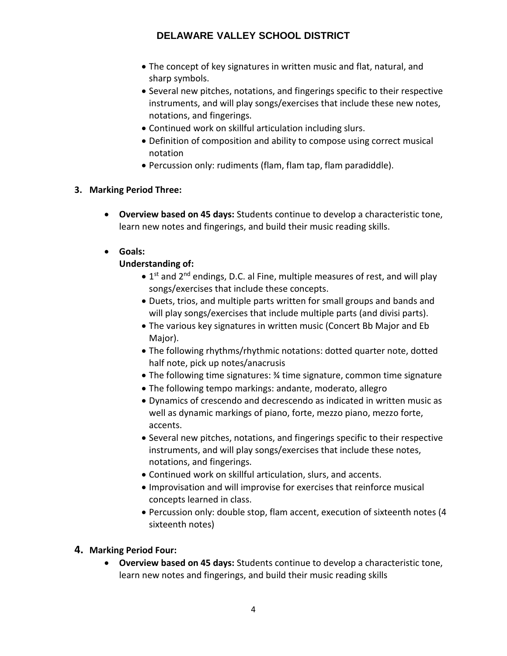- The concept of key signatures in written music and flat, natural, and sharp symbols.
- Several new pitches, notations, and fingerings specific to their respective instruments, and will play songs/exercises that include these new notes, notations, and fingerings.
- Continued work on skillful articulation including slurs.
- Definition of composition and ability to compose using correct musical notation
- Percussion only: rudiments (flam, flam tap, flam paradiddle).

# **3. Marking Period Three:**

• **Overview based on 45 days:** Students continue to develop a characteristic tone, learn new notes and fingerings, and build their music reading skills.

# • **Goals:**

# **Understanding of:**

- $\bullet$  1<sup>st</sup> and 2<sup>nd</sup> endings, D.C. al Fine, multiple measures of rest, and will play songs/exercises that include these concepts.
- Duets, trios, and multiple parts written for small groups and bands and will play songs/exercises that include multiple parts (and divisi parts).
- The various key signatures in written music (Concert Bb Major and Eb Major).
- The following rhythms/rhythmic notations: dotted quarter note, dotted half note, pick up notes/anacrusis
- The following time signatures: ¾ time signature, common time signature
- The following tempo markings: andante, moderato, allegro
- Dynamics of crescendo and decrescendo as indicated in written music as well as dynamic markings of piano, forte, mezzo piano, mezzo forte, accents.
- Several new pitches, notations, and fingerings specific to their respective instruments, and will play songs/exercises that include these notes, notations, and fingerings.
- Continued work on skillful articulation, slurs, and accents.
- Improvisation and will improvise for exercises that reinforce musical concepts learned in class.
- Percussion only: double stop, flam accent, execution of sixteenth notes (4 sixteenth notes)

# **4. Marking Period Four:**

• **Overview based on 45 days:** Students continue to develop a characteristic tone, learn new notes and fingerings, and build their music reading skills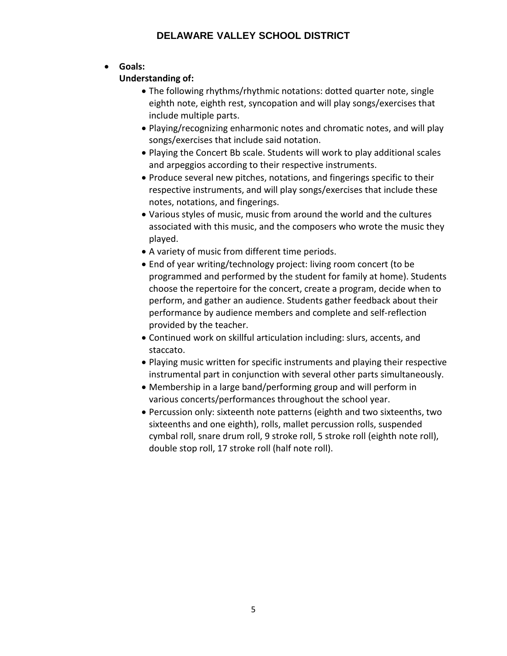# • **Goals:**

# **Understanding of:**

- The following rhythms/rhythmic notations: dotted quarter note, single eighth note, eighth rest, syncopation and will play songs/exercises that include multiple parts.
- Playing/recognizing enharmonic notes and chromatic notes, and will play songs/exercises that include said notation.
- Playing the Concert Bb scale. Students will work to play additional scales and arpeggios according to their respective instruments.
- Produce several new pitches, notations, and fingerings specific to their respective instruments, and will play songs/exercises that include these notes, notations, and fingerings.
- Various styles of music, music from around the world and the cultures associated with this music, and the composers who wrote the music they played.
- A variety of music from different time periods.
- End of year writing/technology project: living room concert (to be programmed and performed by the student for family at home). Students choose the repertoire for the concert, create a program, decide when to perform, and gather an audience. Students gather feedback about their performance by audience members and complete and self-reflection provided by the teacher.
- Continued work on skillful articulation including: slurs, accents, and staccato.
- Playing music written for specific instruments and playing their respective instrumental part in conjunction with several other parts simultaneously.
- Membership in a large band/performing group and will perform in various concerts/performances throughout the school year.
- Percussion only: sixteenth note patterns (eighth and two sixteenths, two sixteenths and one eighth), rolls, mallet percussion rolls, suspended cymbal roll, snare drum roll, 9 stroke roll, 5 stroke roll (eighth note roll), double stop roll, 17 stroke roll (half note roll).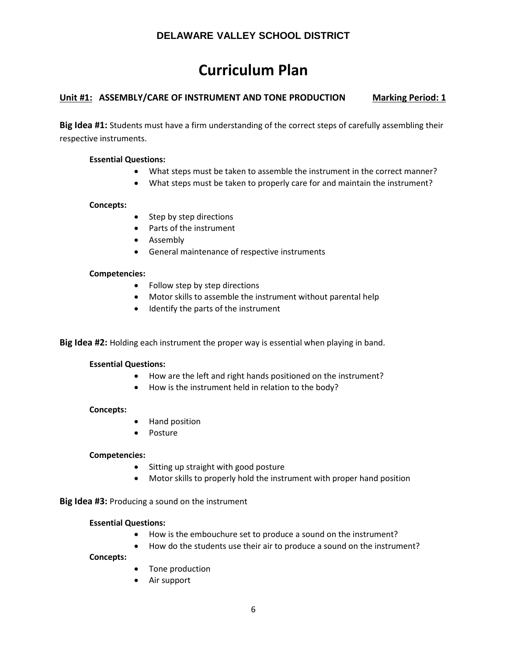# **Curriculum Plan**

# **Unit #1: ASSEMBLY/CARE OF INSTRUMENT AND TONE PRODUCTION Marking Period: 1**

**Big Idea #1:** Students must have a firm understanding of the correct steps of carefully assembling their respective instruments.

### **Essential Questions:**

- What steps must be taken to assemble the instrument in the correct manner?
- What steps must be taken to properly care for and maintain the instrument?

#### **Concepts:**

- Step by step directions
- Parts of the instrument
- Assembly
- General maintenance of respective instruments

#### **Competencies:**

- Follow step by step directions
- Motor skills to assemble the instrument without parental help
- Identify the parts of the instrument

**Big Idea #2:** Holding each instrument the proper way is essential when playing in band.

#### **Essential Questions:**

- How are the left and right hands positioned on the instrument?
- How is the instrument held in relation to the body?

#### **Concepts:**

- Hand position
- Posture

#### **Competencies:**

- Sitting up straight with good posture
- Motor skills to properly hold the instrument with proper hand position

**Big Idea #3:** Producing a sound on the instrument

#### **Essential Questions:**

- How is the embouchure set to produce a sound on the instrument?
- How do the students use their air to produce a sound on the instrument?

**Concepts:**

- Tone production
- Air support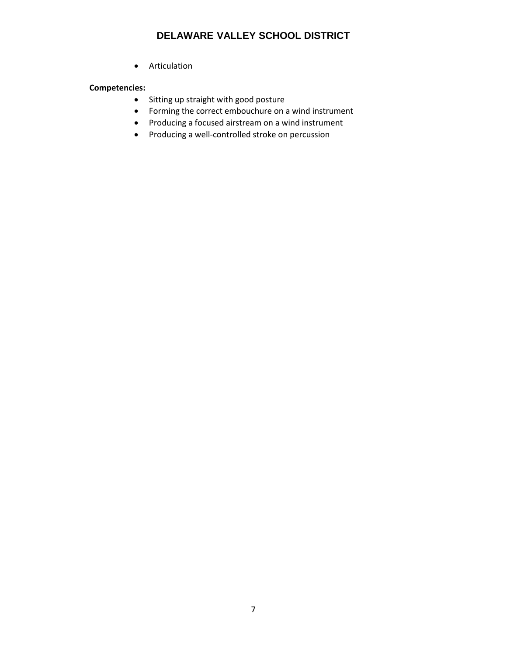• Articulation

# **Competencies:**

- Sitting up straight with good posture
- Forming the correct embouchure on a wind instrument
- Producing a focused airstream on a wind instrument
- Producing a well-controlled stroke on percussion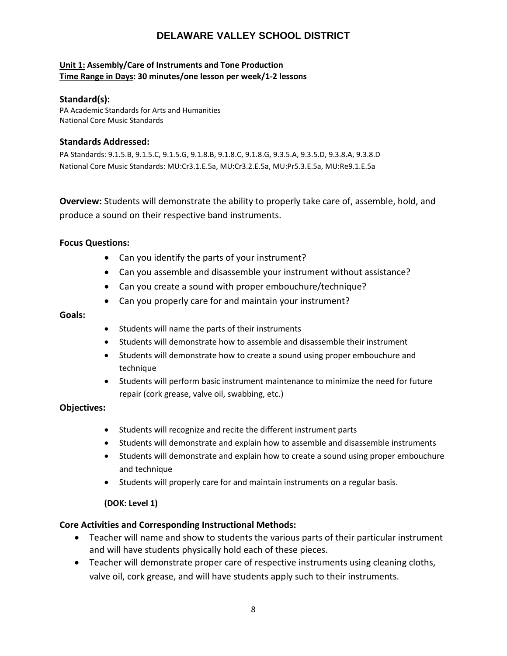#### **Unit 1: Assembly/Care of Instruments and Tone Production Time Range in Days: 30 minutes/one lesson per week/1-2 lessons**

#### **Standard(s):**

PA Academic Standards for Arts and Humanities National Core Music Standards

### **Standards Addressed:**

PA Standards: 9.1.5.B, 9.1.5.C, 9.1.5.G, 9.1.8.B, 9.1.8.C, 9.1.8.G, 9.3.5.A, 9.3.5.D, 9.3.8.A, 9.3.8.D National Core Music Standards: MU:Cr3.1.E.5a, MU:Cr3.2.E.5a, MU:Pr5.3.E.5a, MU:Re9.1.E.5a

**Overview:** Students will demonstrate the ability to properly take care of, assemble, hold, and produce a sound on their respective band instruments.

#### **Focus Questions:**

- Can you identify the parts of your instrument?
- Can you assemble and disassemble your instrument without assistance?
- Can you create a sound with proper embouchure/technique?
- Can you properly care for and maintain your instrument?

#### **Goals:**

- Students will name the parts of their instruments
- Students will demonstrate how to assemble and disassemble their instrument
- Students will demonstrate how to create a sound using proper embouchure and technique
- Students will perform basic instrument maintenance to minimize the need for future repair (cork grease, valve oil, swabbing, etc.)

#### **Objectives:**

- Students will recognize and recite the different instrument parts
- Students will demonstrate and explain how to assemble and disassemble instruments
- Students will demonstrate and explain how to create a sound using proper embouchure and technique
- Students will properly care for and maintain instruments on a regular basis.

#### **(DOK: Level 1)**

#### **Core Activities and Corresponding Instructional Methods:**

- Teacher will name and show to students the various parts of their particular instrument and will have students physically hold each of these pieces.
- Teacher will demonstrate proper care of respective instruments using cleaning cloths, valve oil, cork grease, and will have students apply such to their instruments.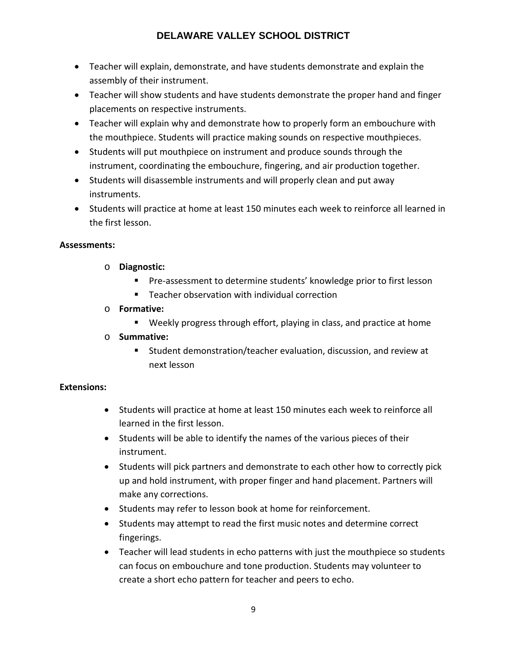- Teacher will explain, demonstrate, and have students demonstrate and explain the assembly of their instrument.
- Teacher will show students and have students demonstrate the proper hand and finger placements on respective instruments.
- Teacher will explain why and demonstrate how to properly form an embouchure with the mouthpiece. Students will practice making sounds on respective mouthpieces.
- Students will put mouthpiece on instrument and produce sounds through the instrument, coordinating the embouchure, fingering, and air production together.
- Students will disassemble instruments and will properly clean and put away instruments.
- Students will practice at home at least 150 minutes each week to reinforce all learned in the first lesson.

# **Assessments:**

- o **Diagnostic:**
	- **Pre-assessment to determine students' knowledge prior to first lesson**
	- Teacher observation with individual correction

# o **Formative:**

- Weekly progress through effort, playing in class, and practice at home
- o **Summative:**
	- Student demonstration/teacher evaluation, discussion, and review at next lesson

# **Extensions:**

- Students will practice at home at least 150 minutes each week to reinforce all learned in the first lesson.
- Students will be able to identify the names of the various pieces of their instrument.
- Students will pick partners and demonstrate to each other how to correctly pick up and hold instrument, with proper finger and hand placement. Partners will make any corrections.
- Students may refer to lesson book at home for reinforcement.
- Students may attempt to read the first music notes and determine correct fingerings.
- Teacher will lead students in echo patterns with just the mouthpiece so students can focus on embouchure and tone production. Students may volunteer to create a short echo pattern for teacher and peers to echo.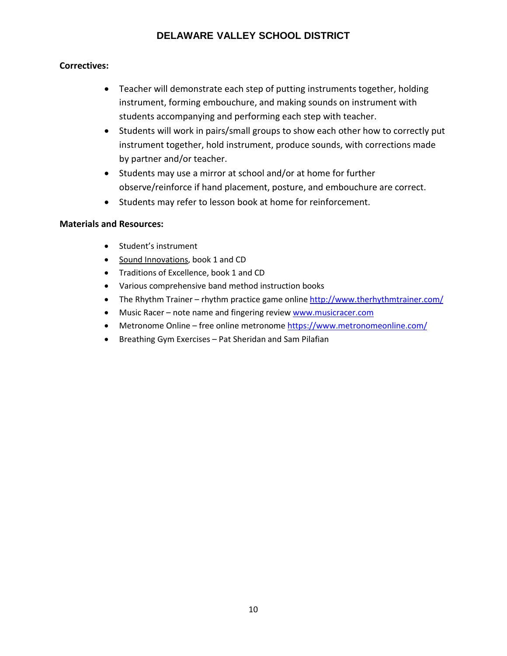# **Correctives:**

- Teacher will demonstrate each step of putting instruments together, holding instrument, forming embouchure, and making sounds on instrument with students accompanying and performing each step with teacher.
- Students will work in pairs/small groups to show each other how to correctly put instrument together, hold instrument, produce sounds, with corrections made by partner and/or teacher.
- Students may use a mirror at school and/or at home for further observe/reinforce if hand placement, posture, and embouchure are correct.
- Students may refer to lesson book at home for reinforcement.

- Student's instrument
- Sound Innovations, book 1 and CD
- Traditions of Excellence, book 1 and CD
- Various comprehensive band method instruction books
- The Rhythm Trainer rhythm practice game online<http://www.therhythmtrainer.com/>
- Music Racer note name and fingering review [www.musicracer.com](http://www.musicracer.com/)
- Metronome Online free online metronome <https://www.metronomeonline.com/>
- Breathing Gym Exercises Pat Sheridan and Sam Pilafian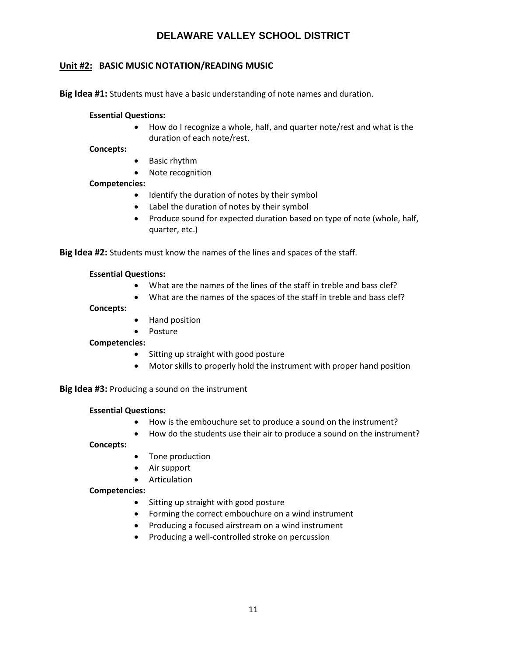# **Unit #2: BASIC MUSIC NOTATION/READING MUSIC**

**Big Idea #1:** Students must have a basic understanding of note names and duration.

#### **Essential Questions:**

• How do I recognize a whole, half, and quarter note/rest and what is the duration of each note/rest.

**Concepts:**

- Basic rhythm
- Note recognition

### **Competencies:**

- Identify the duration of notes by their symbol
- Label the duration of notes by their symbol
- Produce sound for expected duration based on type of note (whole, half, quarter, etc.)

**Big Idea #2:** Students must know the names of the lines and spaces of the staff.

#### **Essential Questions:**

- What are the names of the lines of the staff in treble and bass clef?
- What are the names of the spaces of the staff in treble and bass clef?

#### **Concepts:**

- Hand position
- Posture

#### **Competencies:**

- Sitting up straight with good posture
- Motor skills to properly hold the instrument with proper hand position

**Big Idea #3:** Producing a sound on the instrument

#### **Essential Questions:**

- How is the embouchure set to produce a sound on the instrument?
- How do the students use their air to produce a sound on the instrument?

#### **Concepts:**

- Tone production
- Air support
- Articulation

#### **Competencies:**

- Sitting up straight with good posture
- Forming the correct embouchure on a wind instrument
- Producing a focused airstream on a wind instrument
- Producing a well-controlled stroke on percussion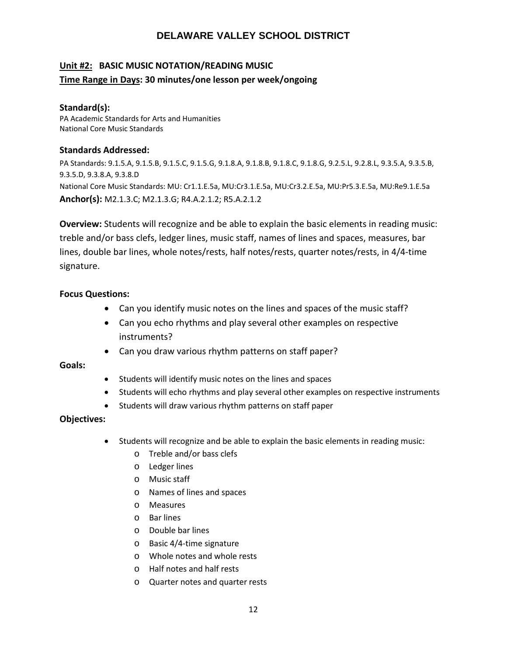# **Unit #2: BASIC MUSIC NOTATION/READING MUSIC Time Range in Days: 30 minutes/one lesson per week/ongoing**

### **Standard(s):**

PA Academic Standards for Arts and Humanities National Core Music Standards

### **Standards Addressed:**

PA Standards: 9.1.5.A, 9.1.5.B, 9.1.5.C, 9.1.5.G, 9.1.8.A, 9.1.8.B, 9.1.8.C, 9.1.8.G, 9.2.5.L, 9.2.8.L, 9.3.5.A, 9.3.5.B, 9.3.5.D, 9.3.8.A, 9.3.8.D National Core Music Standards: MU: Cr1.1.E.5a, MU:Cr3.1.E.5a, MU:Cr3.2.E.5a, MU:Pr5.3.E.5a, MU:Re9.1.E.5a **Anchor(s):** M2.1.3.C; M2.1.3.G; R4.A.2.1.2; R5.A.2.1.2

**Overview:** Students will recognize and be able to explain the basic elements in reading music: treble and/or bass clefs, ledger lines, music staff, names of lines and spaces, measures, bar lines, double bar lines, whole notes/rests, half notes/rests, quarter notes/rests, in 4/4-time signature.

# **Focus Questions:**

- Can you identify music notes on the lines and spaces of the music staff?
- Can you echo rhythms and play several other examples on respective instruments?
- Can you draw various rhythm patterns on staff paper?

**Goals:**

- Students will identify music notes on the lines and spaces
- Students will echo rhythms and play several other examples on respective instruments
- Students will draw various rhythm patterns on staff paper

# **Objectives:**

- Students will recognize and be able to explain the basic elements in reading music:
	- o Treble and/or bass clefs
	- o Ledger lines
	- o Music staff
	- o Names of lines and spaces
	- o Measures
	- o Bar lines
	- o Double bar lines
	- o Basic 4/4-time signature
	- o Whole notes and whole rests
	- o Half notes and half rests
	- o Quarter notes and quarter rests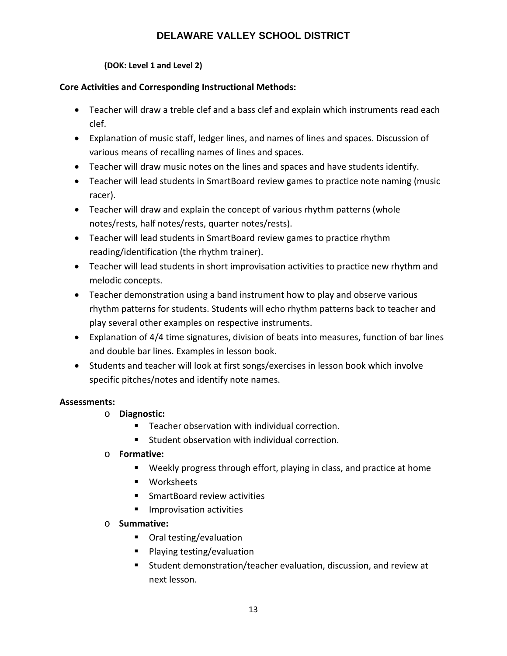# **(DOK: Level 1 and Level 2)**

# **Core Activities and Corresponding Instructional Methods:**

- Teacher will draw a treble clef and a bass clef and explain which instruments read each clef.
- Explanation of music staff, ledger lines, and names of lines and spaces. Discussion of various means of recalling names of lines and spaces.
- Teacher will draw music notes on the lines and spaces and have students identify.
- Teacher will lead students in SmartBoard review games to practice note naming (music racer).
- Teacher will draw and explain the concept of various rhythm patterns (whole notes/rests, half notes/rests, quarter notes/rests).
- Teacher will lead students in SmartBoard review games to practice rhythm reading/identification (the rhythm trainer).
- Teacher will lead students in short improvisation activities to practice new rhythm and melodic concepts.
- Teacher demonstration using a band instrument how to play and observe various rhythm patterns for students. Students will echo rhythm patterns back to teacher and play several other examples on respective instruments.
- Explanation of 4/4 time signatures, division of beats into measures, function of bar lines and double bar lines. Examples in lesson book.
- Students and teacher will look at first songs/exercises in lesson book which involve specific pitches/notes and identify note names.

# **Assessments:**

- o **Diagnostic:**
	- Teacher observation with individual correction.
	- **Student observation with individual correction.**
- o **Formative:** 
	- Weekly progress through effort, playing in class, and practice at home
	- **Worksheets**
	- **SmartBoard review activities**
	- **Improvisation activities**
- o **Summative:**
	- Oral testing/evaluation
	- **Playing testing/evaluation**
	- Student demonstration/teacher evaluation, discussion, and review at next lesson.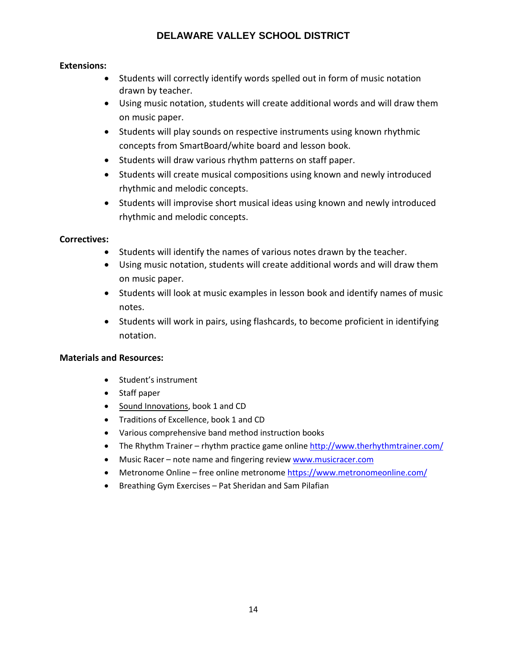# **Extensions:**

- Students will correctly identify words spelled out in form of music notation drawn by teacher.
- Using music notation, students will create additional words and will draw them on music paper.
- Students will play sounds on respective instruments using known rhythmic concepts from SmartBoard/white board and lesson book.
- Students will draw various rhythm patterns on staff paper.
- Students will create musical compositions using known and newly introduced rhythmic and melodic concepts.
- Students will improvise short musical ideas using known and newly introduced rhythmic and melodic concepts.

# **Correctives:**

- Students will identify the names of various notes drawn by the teacher.
- Using music notation, students will create additional words and will draw them on music paper.
- Students will look at music examples in lesson book and identify names of music notes.
- Students will work in pairs, using flashcards, to become proficient in identifying notation.

- Student's instrument
- Staff paper
- Sound Innovations, book 1 and CD
- Traditions of Excellence, book 1 and CD
- Various comprehensive band method instruction books
- The Rhythm Trainer rhythm practice game online<http://www.therhythmtrainer.com/>
- Music Racer note name and fingering review [www.musicracer.com](http://www.musicracer.com/)
- Metronome Online free online metronome<https://www.metronomeonline.com/>
- Breathing Gym Exercises Pat Sheridan and Sam Pilafian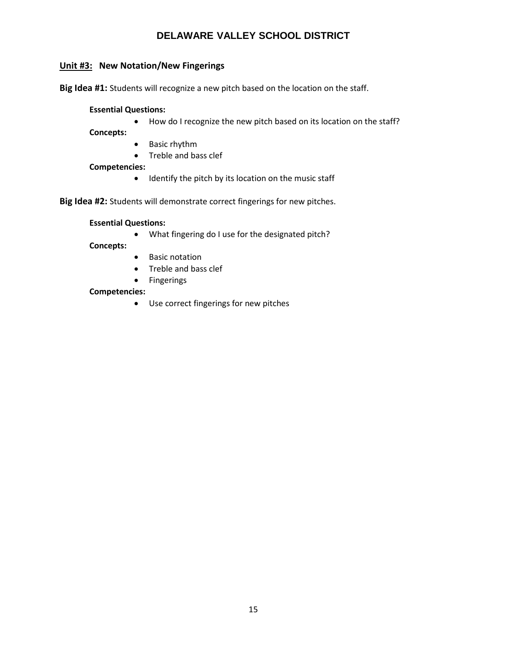# **Unit #3: New Notation/New Fingerings**

**Big Idea #1:** Students will recognize a new pitch based on the location on the staff.

#### **Essential Questions:**

• How do I recognize the new pitch based on its location on the staff?

- **Concepts:**
	- Basic rhythm
	- Treble and bass clef

#### **Competencies:**

• Identify the pitch by its location on the music staff

**Big Idea #2:** Students will demonstrate correct fingerings for new pitches.

#### **Essential Questions:**

• What fingering do I use for the designated pitch?

#### **Concepts:**

- Basic notation
- Treble and bass clef
- Fingerings

#### **Competencies:**

• Use correct fingerings for new pitches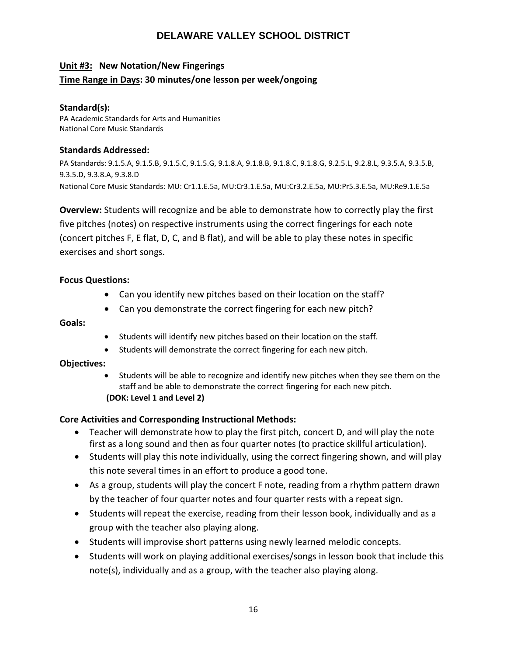# **Unit #3: New Notation/New Fingerings**

# **Time Range in Days: 30 minutes/one lesson per week/ongoing**

### **Standard(s):**

PA Academic Standards for Arts and Humanities National Core Music Standards

### **Standards Addressed:**

PA Standards: 9.1.5.A, 9.1.5.B, 9.1.5.C, 9.1.5.G, 9.1.8.A, 9.1.8.B, 9.1.8.C, 9.1.8.G, 9.2.5.L, 9.2.8.L, 9.3.5.A, 9.3.5.B, 9.3.5.D, 9.3.8.A, 9.3.8.D National Core Music Standards: MU: Cr1.1.E.5a, MU:Cr3.1.E.5a, MU:Cr3.2.E.5a, MU:Pr5.3.E.5a, MU:Re9.1.E.5a

**Overview:** Students will recognize and be able to demonstrate how to correctly play the first five pitches (notes) on respective instruments using the correct fingerings for each note (concert pitches F, E flat, D, C, and B flat), and will be able to play these notes in specific exercises and short songs.

# **Focus Questions:**

- Can you identify new pitches based on their location on the staff?
- Can you demonstrate the correct fingering for each new pitch?

### **Goals:**

- Students will identify new pitches based on their location on the staff.
- Students will demonstrate the correct fingering for each new pitch.

# **Objectives:**

• Students will be able to recognize and identify new pitches when they see them on the staff and be able to demonstrate the correct fingering for each new pitch. **(DOK: Level 1 and Level 2)**

# **Core Activities and Corresponding Instructional Methods:**

- Teacher will demonstrate how to play the first pitch, concert D, and will play the note first as a long sound and then as four quarter notes (to practice skillful articulation).
- Students will play this note individually, using the correct fingering shown, and will play this note several times in an effort to produce a good tone.
- As a group, students will play the concert F note, reading from a rhythm pattern drawn by the teacher of four quarter notes and four quarter rests with a repeat sign.
- Students will repeat the exercise, reading from their lesson book, individually and as a group with the teacher also playing along.
- Students will improvise short patterns using newly learned melodic concepts.
- Students will work on playing additional exercises/songs in lesson book that include this note(s), individually and as a group, with the teacher also playing along.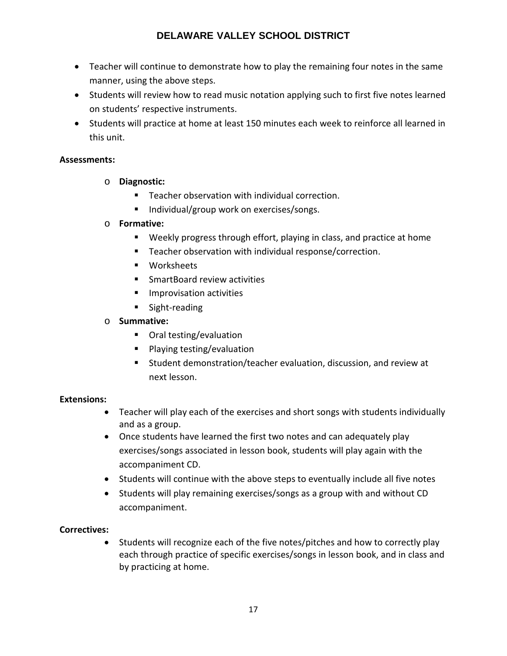- Teacher will continue to demonstrate how to play the remaining four notes in the same manner, using the above steps.
- Students will review how to read music notation applying such to first five notes learned on students' respective instruments.
- Students will practice at home at least 150 minutes each week to reinforce all learned in this unit.

# **Assessments:**

- o **Diagnostic:**
	- **Teacher observation with individual correction.**
	- Individual/group work on exercises/songs.

# o **Formative:**

- Weekly progress through effort, playing in class, and practice at home
- **Teacher observation with individual response/correction.**
- **Worksheets**
- **SmartBoard review activities**
- **Improvisation activities**
- **Sight-reading**

# o **Summative:**

- Oral testing/evaluation
- Playing testing/evaluation
- Student demonstration/teacher evaluation, discussion, and review at next lesson.

# **Extensions:**

- Teacher will play each of the exercises and short songs with students individually and as a group.
- Once students have learned the first two notes and can adequately play exercises/songs associated in lesson book, students will play again with the accompaniment CD.
- Students will continue with the above steps to eventually include all five notes
- Students will play remaining exercises/songs as a group with and without CD accompaniment.

# **Correctives:**

• Students will recognize each of the five notes/pitches and how to correctly play each through practice of specific exercises/songs in lesson book, and in class and by practicing at home.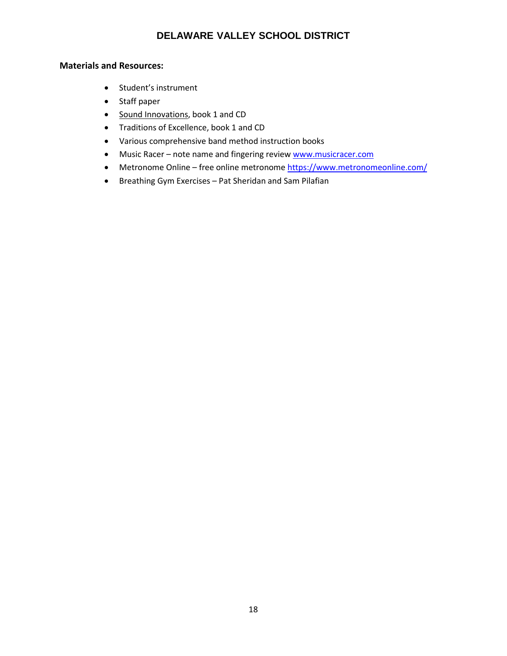- Student's instrument
- Staff paper
- Sound Innovations, book 1 and CD
- Traditions of Excellence, book 1 and CD
- Various comprehensive band method instruction books
- Music Racer note name and fingering review [www.musicracer.com](http://www.musicracer.com/)
- Metronome Online free online metronome<https://www.metronomeonline.com/>
- Breathing Gym Exercises Pat Sheridan and Sam Pilafian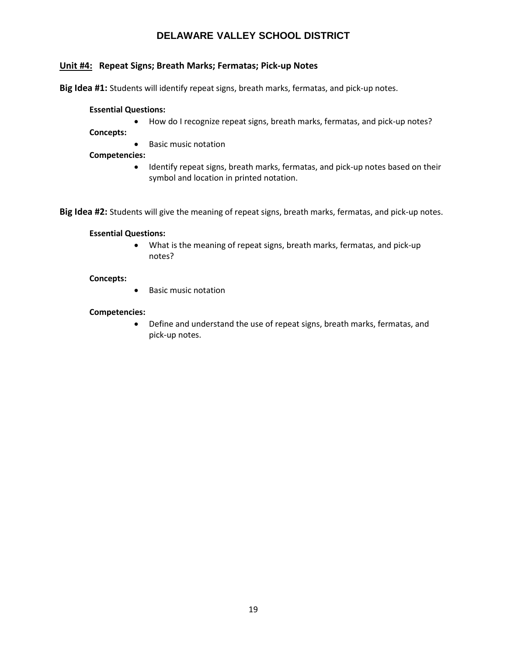# **Unit #4: Repeat Signs; Breath Marks; Fermatas; Pick-up Notes**

**Big Idea #1:** Students will identify repeat signs, breath marks, fermatas, and pick-up notes.

#### **Essential Questions:**

- How do I recognize repeat signs, breath marks, fermatas, and pick-up notes?
- **Concepts:**
	- Basic music notation

**Competencies:**

• Identify repeat signs, breath marks, fermatas, and pick-up notes based on their symbol and location in printed notation.

**Big Idea #2:** Students will give the meaning of repeat signs, breath marks, fermatas, and pick-up notes.

#### **Essential Questions:**

• What is the meaning of repeat signs, breath marks, fermatas, and pick-up notes?

#### **Concepts:**

• Basic music notation

#### **Competencies:**

• Define and understand the use of repeat signs, breath marks, fermatas, and pick-up notes.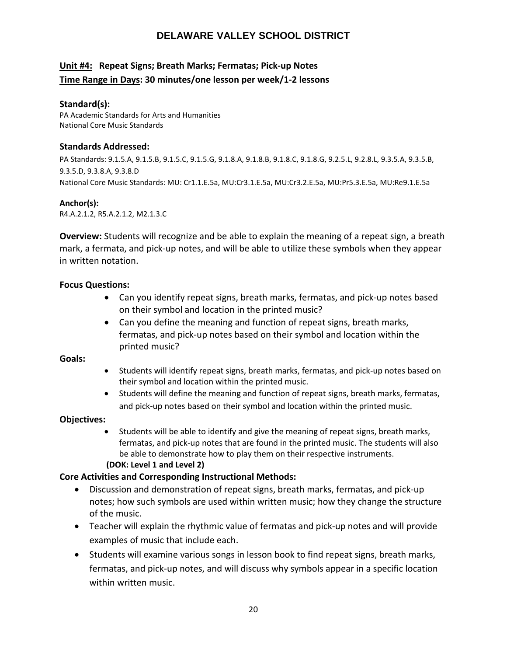# **Unit #4: Repeat Signs; Breath Marks; Fermatas; Pick-up Notes Time Range in Days: 30 minutes/one lesson per week/1-2 lessons**

# **Standard(s):**

PA Academic Standards for Arts and Humanities National Core Music Standards

# **Standards Addressed:**

PA Standards: 9.1.5.A, 9.1.5.B, 9.1.5.C, 9.1.5.G, 9.1.8.A, 9.1.8.B, 9.1.8.C, 9.1.8.G, 9.2.5.L, 9.2.8.L, 9.3.5.A, 9.3.5.B, 9.3.5.D, 9.3.8.A, 9.3.8.D National Core Music Standards: MU: Cr1.1.E.5a, MU:Cr3.1.E.5a, MU:Cr3.2.E.5a, MU:Pr5.3.E.5a, MU:Re9.1.E.5a

### **Anchor(s):**

R4.A.2.1.2, R5.A.2.1.2, M2.1.3.C

**Overview:** Students will recognize and be able to explain the meaning of a repeat sign, a breath mark, a fermata, and pick-up notes, and will be able to utilize these symbols when they appear in written notation.

# **Focus Questions:**

- Can you identify repeat signs, breath marks, fermatas, and pick-up notes based on their symbol and location in the printed music?
- Can you define the meaning and function of repeat signs, breath marks, fermatas, and pick-up notes based on their symbol and location within the printed music?

#### **Goals:**

- Students will identify repeat signs, breath marks, fermatas, and pick-up notes based on their symbol and location within the printed music.
- Students will define the meaning and function of repeat signs, breath marks, fermatas, and pick-up notes based on their symbol and location within the printed music.

# **Objectives:**

• Students will be able to identify and give the meaning of repeat signs, breath marks, fermatas, and pick-up notes that are found in the printed music. The students will also be able to demonstrate how to play them on their respective instruments.

#### **(DOK: Level 1 and Level 2)**

# **Core Activities and Corresponding Instructional Methods:**

- Discussion and demonstration of repeat signs, breath marks, fermatas, and pick-up notes; how such symbols are used within written music; how they change the structure of the music.
- Teacher will explain the rhythmic value of fermatas and pick-up notes and will provide examples of music that include each.
- Students will examine various songs in lesson book to find repeat signs, breath marks, fermatas, and pick-up notes, and will discuss why symbols appear in a specific location within written music.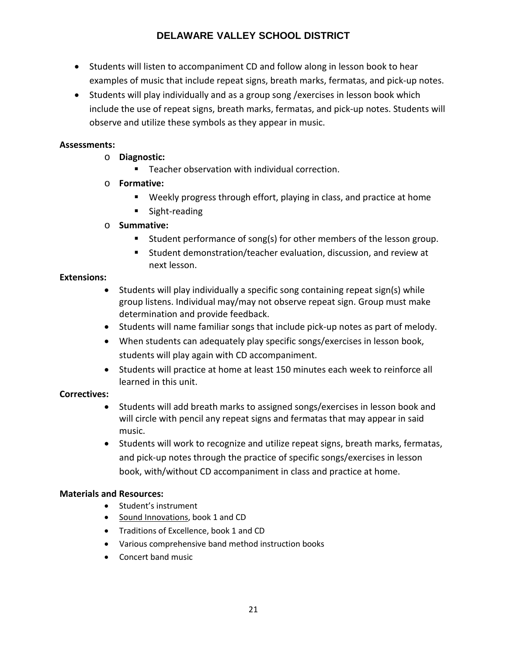- Students will listen to accompaniment CD and follow along in lesson book to hear examples of music that include repeat signs, breath marks, fermatas, and pick-up notes.
- Students will play individually and as a group song /exercises in lesson book which include the use of repeat signs, breath marks, fermatas, and pick-up notes. Students will observe and utilize these symbols as they appear in music.

# **Assessments:**

- o **Diagnostic:**
	- Teacher observation with individual correction.
- o **Formative:** 
	- Weekly progress through effort, playing in class, and practice at home
	- **Sight-reading**
- o **Summative:**
	- **Student performance of song(s) for other members of the lesson group.**
	- Student demonstration/teacher evaluation, discussion, and review at next lesson.

# **Extensions:**

- Students will play individually a specific song containing repeat sign(s) while group listens. Individual may/may not observe repeat sign. Group must make determination and provide feedback.
- Students will name familiar songs that include pick-up notes as part of melody.
- When students can adequately play specific songs/exercises in lesson book, students will play again with CD accompaniment.
- Students will practice at home at least 150 minutes each week to reinforce all learned in this unit.

# **Correctives:**

- Students will add breath marks to assigned songs/exercises in lesson book and will circle with pencil any repeat signs and fermatas that may appear in said music.
- Students will work to recognize and utilize repeat signs, breath marks, fermatas, and pick-up notes through the practice of specific songs/exercises in lesson book, with/without CD accompaniment in class and practice at home.

- Student's instrument
- Sound Innovations, book 1 and CD
- Traditions of Excellence, book 1 and CD
- Various comprehensive band method instruction books
- Concert band music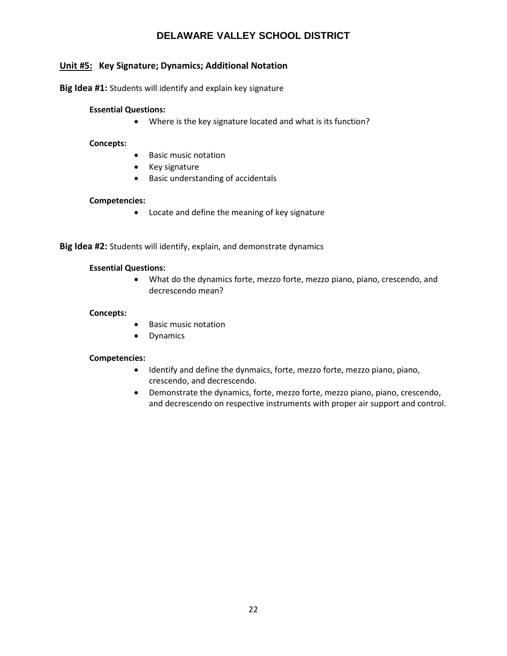# **Unit #5: Key Signature; Dynamics; Additional Notation**

**Big Idea #1:** Students will identify and explain key signature

#### **Essential Questions:**

• Where is the key signature located and what is its function?

#### **Concepts:**

- Basic music notation
- Key signature
- Basic understanding of accidentals

#### **Competencies:**

• Locate and define the meaning of key signature

**Big Idea #2:** Students will identify, explain, and demonstrate dynamics

#### **Essential Questions:**

• What do the dynamics forte, mezzo forte, mezzo piano, piano, crescendo, and decrescendo mean?

#### **Concepts:**

- Basic music notation
- Dynamics

#### **Competencies:**

- Identify and define the dynmaics, forte, mezzo forte, mezzo piano, piano, crescendo, and decrescendo.
- Demonstrate the dynamics, forte, mezzo forte, mezzo piano, piano, crescendo, and decrescendo on respective instruments with proper air support and control.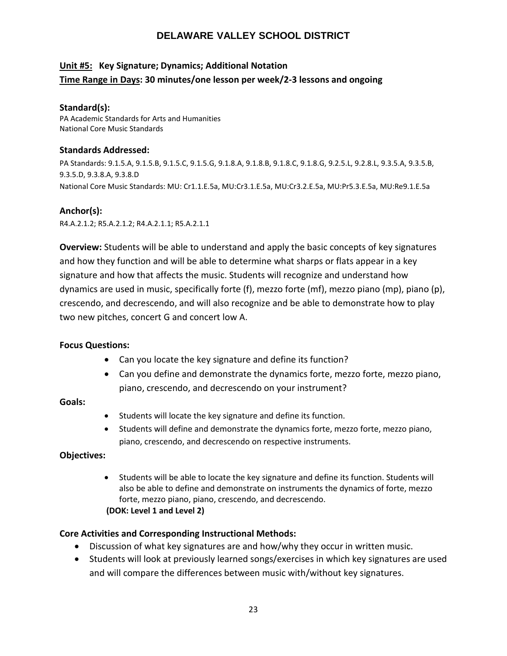# **Unit #5: Key Signature; Dynamics; Additional Notation Time Range in Days: 30 minutes/one lesson per week/2-3 lessons and ongoing**

### **Standard(s):**

PA Academic Standards for Arts and Humanities National Core Music Standards

### **Standards Addressed:**

PA Standards: 9.1.5.A, 9.1.5.B, 9.1.5.C, 9.1.5.G, 9.1.8.A, 9.1.8.B, 9.1.8.C, 9.1.8.G, 9.2.5.L, 9.2.8.L, 9.3.5.A, 9.3.5.B, 9.3.5.D, 9.3.8.A, 9.3.8.D National Core Music Standards: MU: Cr1.1.E.5a, MU:Cr3.1.E.5a, MU:Cr3.2.E.5a, MU:Pr5.3.E.5a, MU:Re9.1.E.5a

# **Anchor(s):**

R4.A.2.1.2; R5.A.2.1.2; R4.A.2.1.1; R5.A.2.1.1

**Overview:** Students will be able to understand and apply the basic concepts of key signatures and how they function and will be able to determine what sharps or flats appear in a key signature and how that affects the music. Students will recognize and understand how dynamics are used in music, specifically forte (f), mezzo forte (mf), mezzo piano (mp), piano (p), crescendo, and decrescendo, and will also recognize and be able to demonstrate how to play two new pitches, concert G and concert low A.

# **Focus Questions:**

- Can you locate the key signature and define its function?
- Can you define and demonstrate the dynamics forte, mezzo forte, mezzo piano, piano, crescendo, and decrescendo on your instrument?

#### **Goals:**

- Students will locate the key signature and define its function.
- Students will define and demonstrate the dynamics forte, mezzo forte, mezzo piano, piano, crescendo, and decrescendo on respective instruments.

# **Objectives:**

• Students will be able to locate the key signature and define its function. Students will also be able to define and demonstrate on instruments the dynamics of forte, mezzo forte, mezzo piano, piano, crescendo, and decrescendo. **(DOK: Level 1 and Level 2)**

# **Core Activities and Corresponding Instructional Methods:**

- Discussion of what key signatures are and how/why they occur in written music.
- Students will look at previously learned songs/exercises in which key signatures are used and will compare the differences between music with/without key signatures.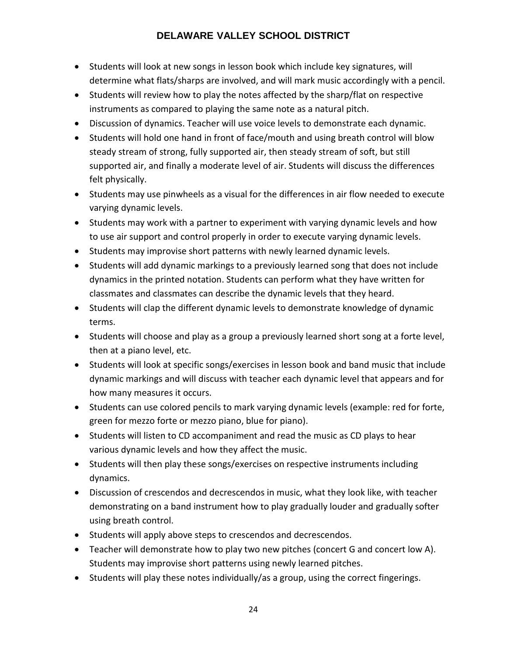- Students will look at new songs in lesson book which include key signatures, will determine what flats/sharps are involved, and will mark music accordingly with a pencil.
- Students will review how to play the notes affected by the sharp/flat on respective instruments as compared to playing the same note as a natural pitch.
- Discussion of dynamics. Teacher will use voice levels to demonstrate each dynamic.
- Students will hold one hand in front of face/mouth and using breath control will blow steady stream of strong, fully supported air, then steady stream of soft, but still supported air, and finally a moderate level of air. Students will discuss the differences felt physically.
- Students may use pinwheels as a visual for the differences in air flow needed to execute varying dynamic levels.
- Students may work with a partner to experiment with varying dynamic levels and how to use air support and control properly in order to execute varying dynamic levels.
- Students may improvise short patterns with newly learned dynamic levels.
- Students will add dynamic markings to a previously learned song that does not include dynamics in the printed notation. Students can perform what they have written for classmates and classmates can describe the dynamic levels that they heard.
- Students will clap the different dynamic levels to demonstrate knowledge of dynamic terms.
- Students will choose and play as a group a previously learned short song at a forte level, then at a piano level, etc.
- Students will look at specific songs/exercises in lesson book and band music that include dynamic markings and will discuss with teacher each dynamic level that appears and for how many measures it occurs.
- Students can use colored pencils to mark varying dynamic levels (example: red for forte, green for mezzo forte or mezzo piano, blue for piano).
- Students will listen to CD accompaniment and read the music as CD plays to hear various dynamic levels and how they affect the music.
- Students will then play these songs/exercises on respective instruments including dynamics.
- Discussion of crescendos and decrescendos in music, what they look like, with teacher demonstrating on a band instrument how to play gradually louder and gradually softer using breath control.
- Students will apply above steps to crescendos and decrescendos.
- Teacher will demonstrate how to play two new pitches (concert G and concert low A). Students may improvise short patterns using newly learned pitches.
- Students will play these notes individually/as a group, using the correct fingerings.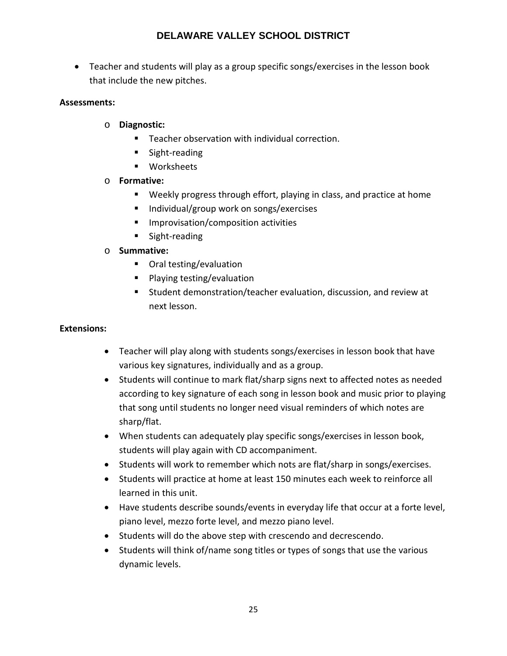• Teacher and students will play as a group specific songs/exercises in the lesson book that include the new pitches.

# **Assessments:**

- o **Diagnostic:**
	- Teacher observation with individual correction.
	- **Sight-reading**
	- **Norksheets**

# o **Formative:**

- Weekly progress through effort, playing in class, and practice at home
- Individual/group work on songs/exercises
- **Improvisation/composition activities**
- **Sight-reading**

# o **Summative:**

- Oral testing/evaluation
- **Playing testing/evaluation**
- Student demonstration/teacher evaluation, discussion, and review at next lesson.

# **Extensions:**

- Teacher will play along with students songs/exercises in lesson book that have various key signatures, individually and as a group.
- Students will continue to mark flat/sharp signs next to affected notes as needed according to key signature of each song in lesson book and music prior to playing that song until students no longer need visual reminders of which notes are sharp/flat.
- When students can adequately play specific songs/exercises in lesson book, students will play again with CD accompaniment.
- Students will work to remember which nots are flat/sharp in songs/exercises.
- Students will practice at home at least 150 minutes each week to reinforce all learned in this unit.
- Have students describe sounds/events in everyday life that occur at a forte level, piano level, mezzo forte level, and mezzo piano level.
- Students will do the above step with crescendo and decrescendo.
- Students will think of/name song titles or types of songs that use the various dynamic levels.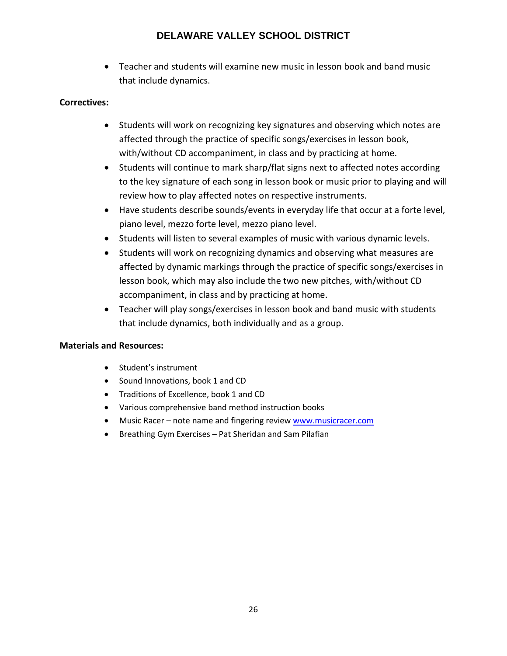• Teacher and students will examine new music in lesson book and band music that include dynamics.

# **Correctives:**

- Students will work on recognizing key signatures and observing which notes are affected through the practice of specific songs/exercises in lesson book, with/without CD accompaniment, in class and by practicing at home.
- Students will continue to mark sharp/flat signs next to affected notes according to the key signature of each song in lesson book or music prior to playing and will review how to play affected notes on respective instruments.
- Have students describe sounds/events in everyday life that occur at a forte level, piano level, mezzo forte level, mezzo piano level.
- Students will listen to several examples of music with various dynamic levels.
- Students will work on recognizing dynamics and observing what measures are affected by dynamic markings through the practice of specific songs/exercises in lesson book, which may also include the two new pitches, with/without CD accompaniment, in class and by practicing at home.
- Teacher will play songs/exercises in lesson book and band music with students that include dynamics, both individually and as a group.

- Student's instrument
- Sound Innovations, book 1 and CD
- Traditions of Excellence, book 1 and CD
- Various comprehensive band method instruction books
- Music Racer note name and fingering review [www.musicracer.com](http://www.musicracer.com/)
- Breathing Gym Exercises Pat Sheridan and Sam Pilafian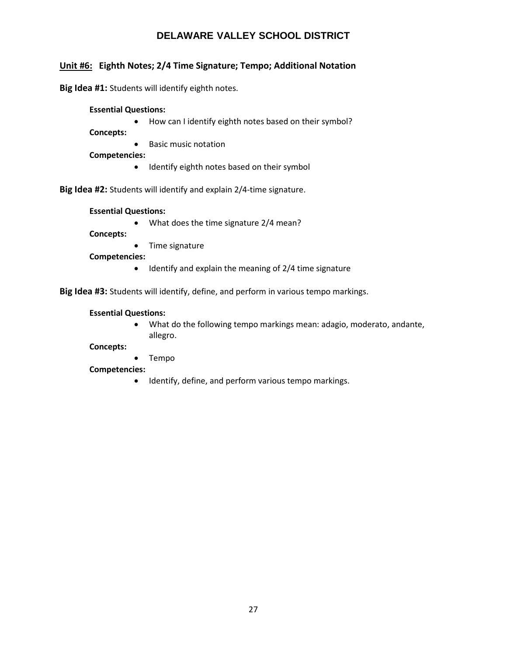# **Unit #6: Eighth Notes; 2/4 Time Signature; Tempo; Additional Notation**

**Big Idea #1:** Students will identify eighth notes.

**Essential Questions:** 

• How can I identify eighth notes based on their symbol?

**Concepts:**

• Basic music notation

**Competencies:**

• Identify eighth notes based on their symbol

**Big Idea #2:** Students will identify and explain 2/4-time signature.

#### **Essential Questions:**

• What does the time signature 2/4 mean?

**Concepts:**

• Time signature

**Competencies:**

• Identify and explain the meaning of 2/4 time signature

**Big Idea #3:** Students will identify, define, and perform in various tempo markings.

#### **Essential Questions:**

• What do the following tempo markings mean: adagio, moderato, andante, allegro.

#### **Concepts:**

• Tempo

#### **Competencies:**

• Identify, define, and perform various tempo markings.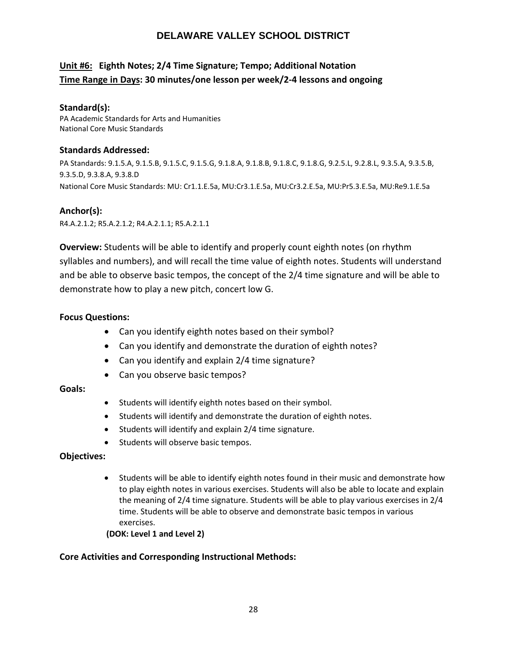# **Unit #6: Eighth Notes; 2/4 Time Signature; Tempo; Additional Notation Time Range in Days: 30 minutes/one lesson per week/2-4 lessons and ongoing**

### **Standard(s):**

PA Academic Standards for Arts and Humanities National Core Music Standards

### **Standards Addressed:**

PA Standards: 9.1.5.A, 9.1.5.B, 9.1.5.C, 9.1.5.G, 9.1.8.A, 9.1.8.B, 9.1.8.C, 9.1.8.G, 9.2.5.L, 9.2.8.L, 9.3.5.A, 9.3.5.B, 9.3.5.D, 9.3.8.A, 9.3.8.D National Core Music Standards: MU: Cr1.1.E.5a, MU:Cr3.1.E.5a, MU:Cr3.2.E.5a, MU:Pr5.3.E.5a, MU:Re9.1.E.5a

# **Anchor(s):**

R4.A.2.1.2; R5.A.2.1.2; R4.A.2.1.1; R5.A.2.1.1

**Overview:** Students will be able to identify and properly count eighth notes (on rhythm syllables and numbers), and will recall the time value of eighth notes. Students will understand and be able to observe basic tempos, the concept of the 2/4 time signature and will be able to demonstrate how to play a new pitch, concert low G.

# **Focus Questions:**

- Can you identify eighth notes based on their symbol?
- Can you identify and demonstrate the duration of eighth notes?
- Can you identify and explain 2/4 time signature?
- Can you observe basic tempos?

# **Goals:**

- Students will identify eighth notes based on their symbol.
- Students will identify and demonstrate the duration of eighth notes.
- Students will identify and explain 2/4 time signature.
- Students will observe basic tempos.

#### **Objectives:**

• Students will be able to identify eighth notes found in their music and demonstrate how to play eighth notes in various exercises. Students will also be able to locate and explain the meaning of 2/4 time signature. Students will be able to play various exercises in 2/4 time. Students will be able to observe and demonstrate basic tempos in various exercises.

#### **(DOK: Level 1 and Level 2)**

# **Core Activities and Corresponding Instructional Methods:**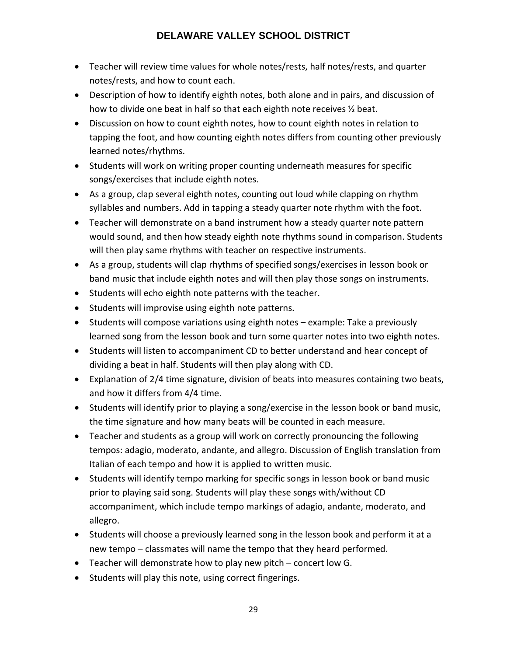- Teacher will review time values for whole notes/rests, half notes/rests, and quarter notes/rests, and how to count each.
- Description of how to identify eighth notes, both alone and in pairs, and discussion of how to divide one beat in half so that each eighth note receives ½ beat.
- Discussion on how to count eighth notes, how to count eighth notes in relation to tapping the foot, and how counting eighth notes differs from counting other previously learned notes/rhythms.
- Students will work on writing proper counting underneath measures for specific songs/exercises that include eighth notes.
- As a group, clap several eighth notes, counting out loud while clapping on rhythm syllables and numbers. Add in tapping a steady quarter note rhythm with the foot.
- Teacher will demonstrate on a band instrument how a steady quarter note pattern would sound, and then how steady eighth note rhythms sound in comparison. Students will then play same rhythms with teacher on respective instruments.
- As a group, students will clap rhythms of specified songs/exercises in lesson book or band music that include eighth notes and will then play those songs on instruments.
- Students will echo eighth note patterns with the teacher.
- Students will improvise using eighth note patterns.
- Students will compose variations using eighth notes example: Take a previously learned song from the lesson book and turn some quarter notes into two eighth notes.
- Students will listen to accompaniment CD to better understand and hear concept of dividing a beat in half. Students will then play along with CD.
- Explanation of 2/4 time signature, division of beats into measures containing two beats, and how it differs from 4/4 time.
- Students will identify prior to playing a song/exercise in the lesson book or band music, the time signature and how many beats will be counted in each measure.
- Teacher and students as a group will work on correctly pronouncing the following tempos: adagio, moderato, andante, and allegro. Discussion of English translation from Italian of each tempo and how it is applied to written music.
- Students will identify tempo marking for specific songs in lesson book or band music prior to playing said song. Students will play these songs with/without CD accompaniment, which include tempo markings of adagio, andante, moderato, and allegro.
- Students will choose a previously learned song in the lesson book and perform it at a new tempo – classmates will name the tempo that they heard performed.
- Teacher will demonstrate how to play new pitch concert low G.
- Students will play this note, using correct fingerings.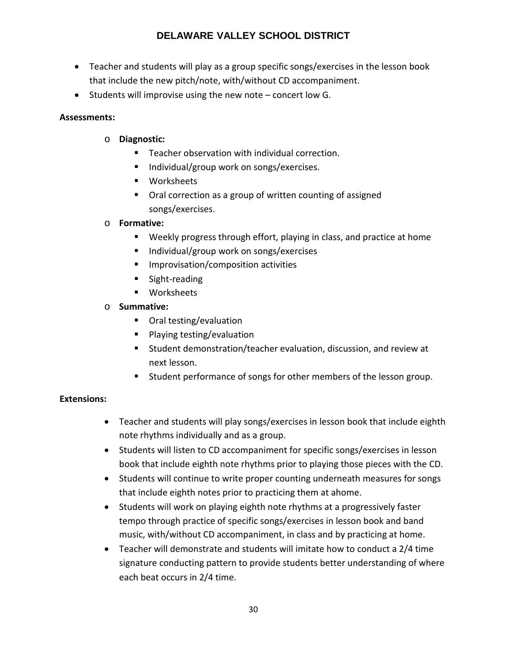- Teacher and students will play as a group specific songs/exercises in the lesson book that include the new pitch/note, with/without CD accompaniment.
- Students will improvise using the new note concert low G.

# **Assessments:**

- o **Diagnostic:**
	- Teacher observation with individual correction.
	- Individual/group work on songs/exercises.
	- **Norksheets**
	- Oral correction as a group of written counting of assigned songs/exercises.

# o **Formative:**

- Weekly progress through effort, playing in class, and practice at home
- Individual/group work on songs/exercises
- **IMPROVISATION**/composition activities
- **Sight-reading**
- **Worksheets**
- o **Summative:**
	- Oral testing/evaluation
	- **Playing testing/evaluation**
	- Student demonstration/teacher evaluation, discussion, and review at next lesson.
	- Student performance of songs for other members of the lesson group.

# **Extensions:**

- Teacher and students will play songs/exercises in lesson book that include eighth note rhythms individually and as a group.
- Students will listen to CD accompaniment for specific songs/exercises in lesson book that include eighth note rhythms prior to playing those pieces with the CD.
- Students will continue to write proper counting underneath measures for songs that include eighth notes prior to practicing them at ahome.
- Students will work on playing eighth note rhythms at a progressively faster tempo through practice of specific songs/exercises in lesson book and band music, with/without CD accompaniment, in class and by practicing at home.
- Teacher will demonstrate and students will imitate how to conduct a 2/4 time signature conducting pattern to provide students better understanding of where each beat occurs in 2/4 time.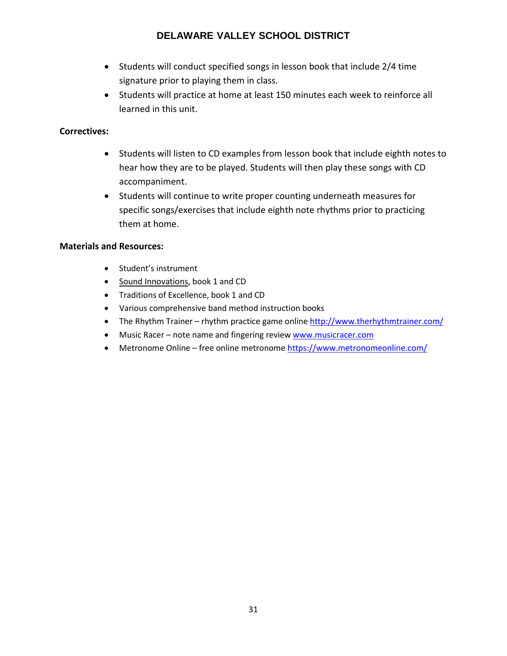- Students will conduct specified songs in lesson book that include 2/4 time signature prior to playing them in class.
- Students will practice at home at least 150 minutes each week to reinforce all learned in this unit.

# **Correctives:**

- Students will listen to CD examples from lesson book that include eighth notes to hear how they are to be played. Students will then play these songs with CD accompaniment.
- Students will continue to write proper counting underneath measures for specific songs/exercises that include eighth note rhythms prior to practicing them at home.

- Student's instrument
- Sound Innovations, book 1 and CD
- Traditions of Excellence, book 1 and CD
- Various comprehensive band method instruction books
- The Rhythm Trainer rhythm practice game online<http://www.therhythmtrainer.com/>
- Music Racer note name and fingering review [www.musicracer.com](http://www.musicracer.com/)
- Metronome Online free online metronome<https://www.metronomeonline.com/>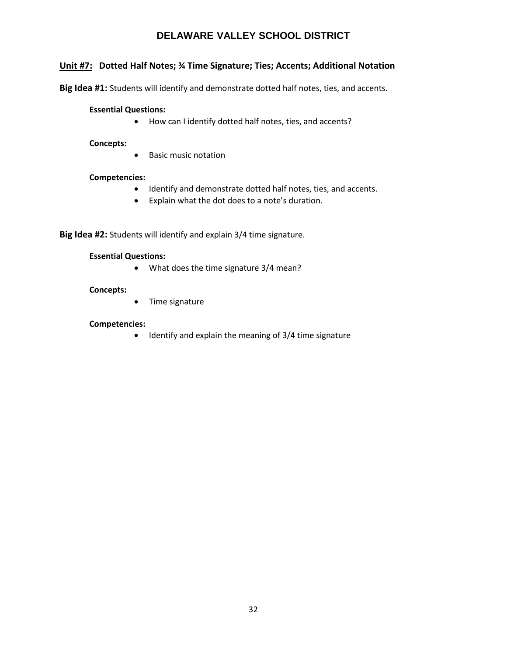# **Unit #7: Dotted Half Notes; ¾ Time Signature; Ties; Accents; Additional Notation**

**Big Idea #1:** Students will identify and demonstrate dotted half notes, ties, and accents.

#### **Essential Questions:**

• How can I identify dotted half notes, ties, and accents?

**Concepts:**

• Basic music notation

#### **Competencies:**

- Identify and demonstrate dotted half notes, ties, and accents.
- Explain what the dot does to a note's duration.

**Big Idea #2:** Students will identify and explain 3/4 time signature.

#### **Essential Questions:**

• What does the time signature 3/4 mean?

#### **Concepts:**

• Time signature

#### **Competencies:**

• Identify and explain the meaning of 3/4 time signature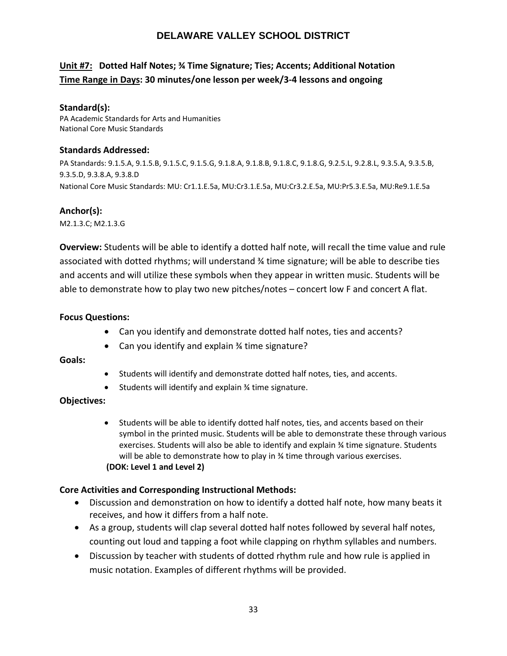# **Unit #7: Dotted Half Notes; ¾ Time Signature; Ties; Accents; Additional Notation Time Range in Days: 30 minutes/one lesson per week/3-4 lessons and ongoing**

### **Standard(s):**

PA Academic Standards for Arts and Humanities National Core Music Standards

### **Standards Addressed:**

PA Standards: 9.1.5.A, 9.1.5.B, 9.1.5.C, 9.1.5.G, 9.1.8.A, 9.1.8.B, 9.1.8.C, 9.1.8.G, 9.2.5.L, 9.2.8.L, 9.3.5.A, 9.3.5.B, 9.3.5.D, 9.3.8.A, 9.3.8.D National Core Music Standards: MU: Cr1.1.E.5a, MU:Cr3.1.E.5a, MU:Cr3.2.E.5a, MU:Pr5.3.E.5a, MU:Re9.1.E.5a

# **Anchor(s):**

M2.1.3.C; M2.1.3.G

**Overview:** Students will be able to identify a dotted half note, will recall the time value and rule associated with dotted rhythms; will understand ¾ time signature; will be able to describe ties and accents and will utilize these symbols when they appear in written music. Students will be able to demonstrate how to play two new pitches/notes – concert low F and concert A flat.

# **Focus Questions:**

- Can you identify and demonstrate dotted half notes, ties and accents?
- Can you identify and explain % time signature?

# **Goals:**

- Students will identify and demonstrate dotted half notes, ties, and accents.
- Students will identify and explain ¾ time signature.

# **Objectives:**

• Students will be able to identify dotted half notes, ties, and accents based on their symbol in the printed music. Students will be able to demonstrate these through various exercises. Students will also be able to identify and explain ¾ time signature. Students will be able to demonstrate how to play in 34 time through various exercises. **(DOK: Level 1 and Level 2)**

# **Core Activities and Corresponding Instructional Methods:**

- Discussion and demonstration on how to identify a dotted half note, how many beats it receives, and how it differs from a half note.
- As a group, students will clap several dotted half notes followed by several half notes, counting out loud and tapping a foot while clapping on rhythm syllables and numbers.
- Discussion by teacher with students of dotted rhythm rule and how rule is applied in music notation. Examples of different rhythms will be provided.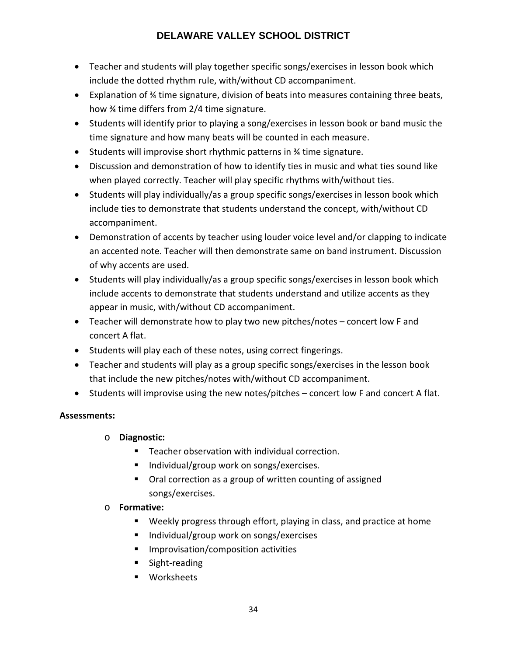- Teacher and students will play together specific songs/exercises in lesson book which include the dotted rhythm rule, with/without CD accompaniment.
- Explanation of ¾ time signature, division of beats into measures containing three beats, how ¾ time differs from 2/4 time signature.
- Students will identify prior to playing a song/exercises in lesson book or band music the time signature and how many beats will be counted in each measure.
- Students will improvise short rhythmic patterns in ¾ time signature.
- Discussion and demonstration of how to identify ties in music and what ties sound like when played correctly. Teacher will play specific rhythms with/without ties.
- Students will play individually/as a group specific songs/exercises in lesson book which include ties to demonstrate that students understand the concept, with/without CD accompaniment.
- Demonstration of accents by teacher using louder voice level and/or clapping to indicate an accented note. Teacher will then demonstrate same on band instrument. Discussion of why accents are used.
- Students will play individually/as a group specific songs/exercises in lesson book which include accents to demonstrate that students understand and utilize accents as they appear in music, with/without CD accompaniment.
- Teacher will demonstrate how to play two new pitches/notes concert low F and concert A flat.
- Students will play each of these notes, using correct fingerings.
- Teacher and students will play as a group specific songs/exercises in the lesson book that include the new pitches/notes with/without CD accompaniment.
- Students will improvise using the new notes/pitches concert low F and concert A flat.

# **Assessments:**

- o **Diagnostic:**
	- **F** Teacher observation with individual correction.
	- Individual/group work on songs/exercises.
	- Oral correction as a group of written counting of assigned songs/exercises.

# o **Formative:**

- Weekly progress through effort, playing in class, and practice at home
- Individual/group work on songs/exercises
- **Improvisation/composition activities**
- **Sight-reading**
- **Norksheets**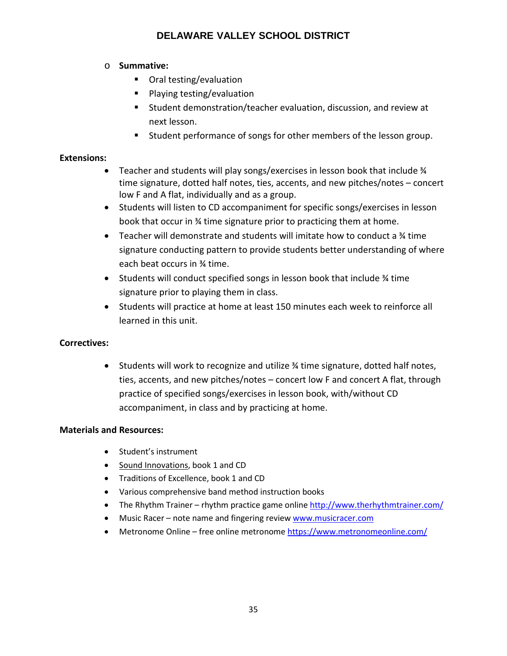# o **Summative:**

- Oral testing/evaluation
- Playing testing/evaluation
- Student demonstration/teacher evaluation, discussion, and review at next lesson.
- Student performance of songs for other members of the lesson group.

# **Extensions:**

- Teacher and students will play songs/exercises in lesson book that include  $\frac{1}{4}$ time signature, dotted half notes, ties, accents, and new pitches/notes – concert low F and A flat, individually and as a group.
- Students will listen to CD accompaniment for specific songs/exercises in lesson book that occur in ¾ time signature prior to practicing them at home.
- Teacher will demonstrate and students will imitate how to conduct a  $\frac{1}{4}$  time signature conducting pattern to provide students better understanding of where each beat occurs in ¾ time.
- Students will conduct specified songs in lesson book that include ¾ time signature prior to playing them in class.
- Students will practice at home at least 150 minutes each week to reinforce all learned in this unit.

# **Correctives:**

• Students will work to recognize and utilize ¾ time signature, dotted half notes, ties, accents, and new pitches/notes – concert low F and concert A flat, through practice of specified songs/exercises in lesson book, with/without CD accompaniment, in class and by practicing at home.

- Student's instrument
- Sound Innovations, book 1 and CD
- Traditions of Excellence, book 1 and CD
- Various comprehensive band method instruction books
- The Rhythm Trainer rhythm practice game online<http://www.therhythmtrainer.com/>
- Music Racer note name and fingering review [www.musicracer.com](http://www.musicracer.com/)
- Metronome Online free online metronome<https://www.metronomeonline.com/>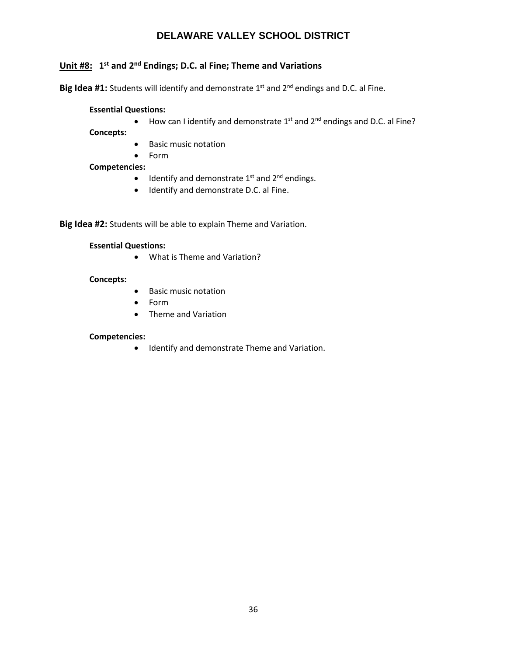# **Unit #8: 1st and 2nd Endings; D.C. al Fine; Theme and Variations**

Big Idea #1: Students will identify and demonstrate 1<sup>st</sup> and 2<sup>nd</sup> endings and D.C. al Fine.

#### **Essential Questions:**

• How can I identify and demonstrate  $1^{st}$  and  $2^{nd}$  endings and D.C. al Fine?

**Concepts:**

- Basic music notation
- Form

#### **Competencies:**

- $\bullet$  Identify and demonstrate 1<sup>st</sup> and 2<sup>nd</sup> endings.
- Identify and demonstrate D.C. al Fine.

**Big Idea #2:** Students will be able to explain Theme and Variation.

#### **Essential Questions:**

• What is Theme and Variation?

#### **Concepts:**

- Basic music notation
- Form
- Theme and Variation

#### **Competencies:**

• Identify and demonstrate Theme and Variation.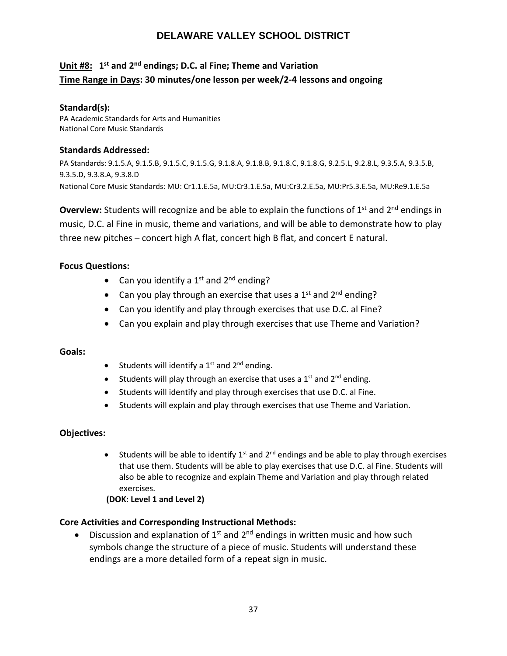# **Unit #8: 1st and 2nd endings; D.C. al Fine; Theme and Variation Time Range in Days: 30 minutes/one lesson per week/2-4 lessons and ongoing**

### **Standard(s):**

PA Academic Standards for Arts and Humanities National Core Music Standards

### **Standards Addressed:**

PA Standards: 9.1.5.A, 9.1.5.B, 9.1.5.C, 9.1.5.G, 9.1.8.A, 9.1.8.B, 9.1.8.C, 9.1.8.G, 9.2.5.L, 9.2.8.L, 9.3.5.A, 9.3.5.B, 9.3.5.D, 9.3.8.A, 9.3.8.D National Core Music Standards: MU: Cr1.1.E.5a, MU:Cr3.1.E.5a, MU:Cr3.2.E.5a, MU:Pr5.3.E.5a, MU:Re9.1.E.5a

**Overview:** Students will recognize and be able to explain the functions of 1<sup>st</sup> and 2<sup>nd</sup> endings in music, D.C. al Fine in music, theme and variations, and will be able to demonstrate how to play three new pitches – concert high A flat, concert high B flat, and concert E natural.

# **Focus Questions:**

- Can you identify a  $1<sup>st</sup>$  and  $2<sup>nd</sup>$  ending?
- Can you play through an exercise that uses a  $1<sup>st</sup>$  and  $2<sup>nd</sup>$  ending?
- Can you identify and play through exercises that use D.C. al Fine?
- Can you explain and play through exercises that use Theme and Variation?

#### **Goals:**

- Students will identify a  $1<sup>st</sup>$  and  $2<sup>nd</sup>$  ending.
- Students will play through an exercise that uses a  $1<sup>st</sup>$  and  $2<sup>nd</sup>$  ending.
- Students will identify and play through exercises that use D.C. al Fine.
- Students will explain and play through exercises that use Theme and Variation.

# **Objectives:**

• Students will be able to identify  $1^{st}$  and  $2^{nd}$  endings and be able to play through exercises that use them. Students will be able to play exercises that use D.C. al Fine. Students will also be able to recognize and explain Theme and Variation and play through related exercises.

#### **(DOK: Level 1 and Level 2)**

# **Core Activities and Corresponding Instructional Methods:**

• Discussion and explanation of  $1<sup>st</sup>$  and  $2<sup>nd</sup>$  endings in written music and how such symbols change the structure of a piece of music. Students will understand these endings are a more detailed form of a repeat sign in music.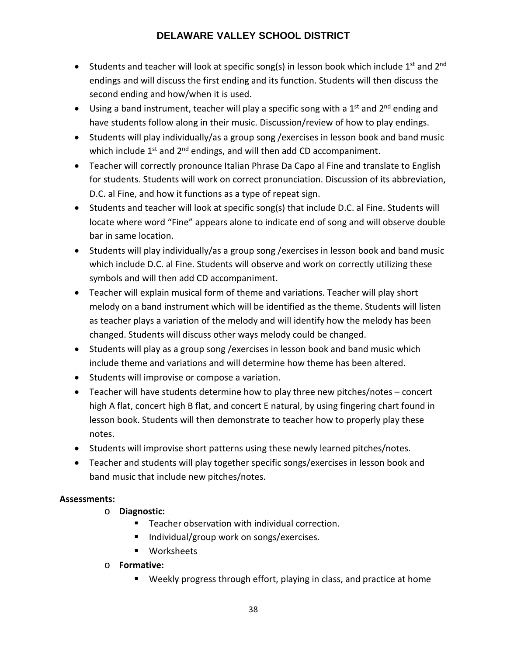- Students and teacher will look at specific song(s) in lesson book which include  $1<sup>st</sup>$  and  $2<sup>nd</sup>$ endings and will discuss the first ending and its function. Students will then discuss the second ending and how/when it is used.
- Using a band instrument, teacher will play a specific song with a  $1<sup>st</sup>$  and  $2<sup>nd</sup>$  ending and have students follow along in their music. Discussion/review of how to play endings.
- Students will play individually/as a group song /exercises in lesson book and band music which include  $1<sup>st</sup>$  and  $2<sup>nd</sup>$  endings, and will then add CD accompaniment.
- Teacher will correctly pronounce Italian Phrase Da Capo al Fine and translate to English for students. Students will work on correct pronunciation. Discussion of its abbreviation, D.C. al Fine, and how it functions as a type of repeat sign.
- Students and teacher will look at specific song(s) that include D.C. al Fine. Students will locate where word "Fine" appears alone to indicate end of song and will observe double bar in same location.
- Students will play individually/as a group song /exercises in lesson book and band music which include D.C. al Fine. Students will observe and work on correctly utilizing these symbols and will then add CD accompaniment.
- Teacher will explain musical form of theme and variations. Teacher will play short melody on a band instrument which will be identified as the theme. Students will listen as teacher plays a variation of the melody and will identify how the melody has been changed. Students will discuss other ways melody could be changed.
- Students will play as a group song /exercises in lesson book and band music which include theme and variations and will determine how theme has been altered.
- Students will improvise or compose a variation.
- Teacher will have students determine how to play three new pitches/notes concert high A flat, concert high B flat, and concert E natural, by using fingering chart found in lesson book. Students will then demonstrate to teacher how to properly play these notes.
- Students will improvise short patterns using these newly learned pitches/notes.
- Teacher and students will play together specific songs/exercises in lesson book and band music that include new pitches/notes.

# **Assessments:**

- o **Diagnostic:**
	- **Teacher observation with individual correction.**
	- Individual/group work on songs/exercises.
	- Worksheets
- o **Formative:** 
	- Weekly progress through effort, playing in class, and practice at home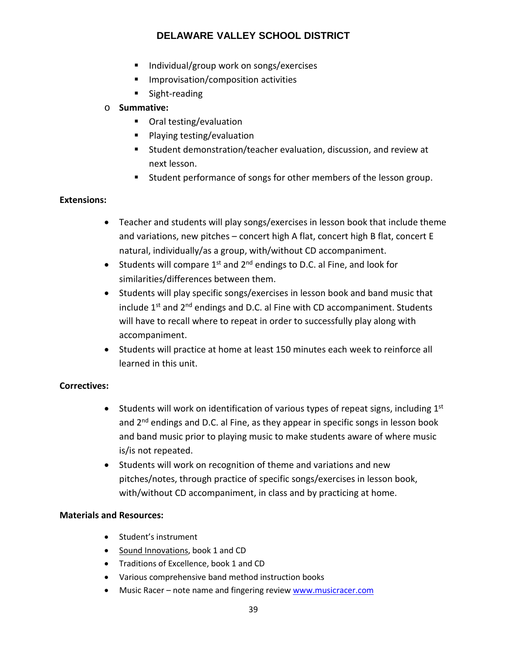- Individual/group work on songs/exercises
- **IMPROVISATION**/composition activities
- **Sight-reading**

# o **Summative:**

- Oral testing/evaluation
- Playing testing/evaluation
- Student demonstration/teacher evaluation, discussion, and review at next lesson.
- **Student performance of songs for other members of the lesson group.**

# **Extensions:**

- Teacher and students will play songs/exercises in lesson book that include theme and variations, new pitches – concert high A flat, concert high B flat, concert E natural, individually/as a group, with/without CD accompaniment.
- Students will compare  $1^{st}$  and  $2^{nd}$  endings to D.C. al Fine, and look for similarities/differences between them.
- Students will play specific songs/exercises in lesson book and band music that include  $1<sup>st</sup>$  and  $2<sup>nd</sup>$  endings and D.C. al Fine with CD accompaniment. Students will have to recall where to repeat in order to successfully play along with accompaniment.
- Students will practice at home at least 150 minutes each week to reinforce all learned in this unit.

# **Correctives:**

- Students will work on identification of various types of repeat signs, including  $1<sup>st</sup>$ and 2<sup>nd</sup> endings and D.C. al Fine, as they appear in specific songs in lesson book and band music prior to playing music to make students aware of where music is/is not repeated.
- Students will work on recognition of theme and variations and new pitches/notes, through practice of specific songs/exercises in lesson book, with/without CD accompaniment, in class and by practicing at home.

- Student's instrument
- Sound Innovations, book 1 and CD
- Traditions of Excellence, book 1 and CD
- Various comprehensive band method instruction books
- Music Racer note name and fingering review [www.musicracer.com](http://www.musicracer.com/)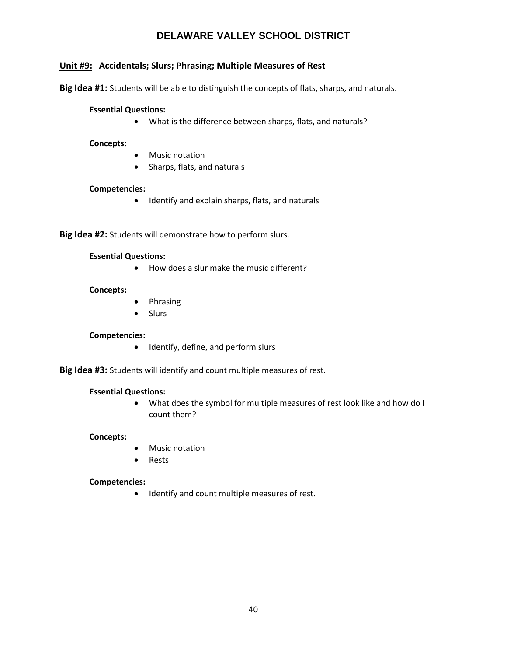# **Unit #9: Accidentals; Slurs; Phrasing; Multiple Measures of Rest**

**Big Idea #1:** Students will be able to distinguish the concepts of flats, sharps, and naturals.

#### **Essential Questions:**

• What is the difference between sharps, flats, and naturals?

**Concepts:**

- Music notation
- Sharps, flats, and naturals

#### **Competencies:**

• Identify and explain sharps, flats, and naturals

**Big Idea #2:** Students will demonstrate how to perform slurs.

#### **Essential Questions:**

• How does a slur make the music different?

#### **Concepts:**

- Phrasing
- Slurs

#### **Competencies:**

• Identify, define, and perform slurs

**Big Idea #3:** Students will identify and count multiple measures of rest.

#### **Essential Questions:**

• What does the symbol for multiple measures of rest look like and how do I count them?

#### **Concepts:**

- **Music notation**
- Rests

#### **Competencies:**

• Identify and count multiple measures of rest.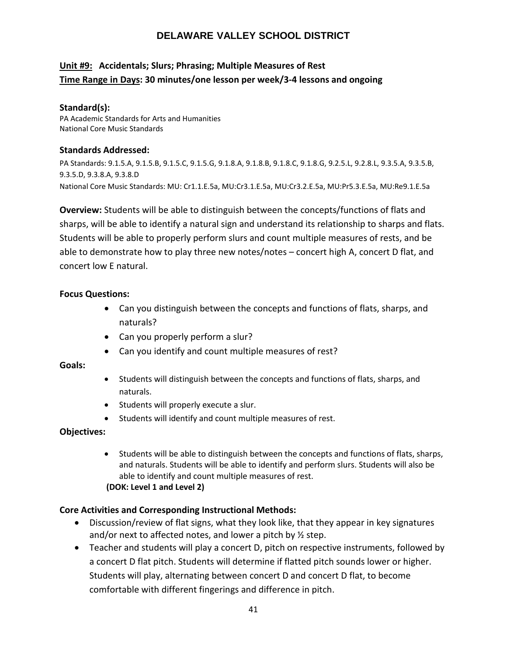# **Unit #9: Accidentals; Slurs; Phrasing; Multiple Measures of Rest Time Range in Days: 30 minutes/one lesson per week/3-4 lessons and ongoing**

### **Standard(s):**

PA Academic Standards for Arts and Humanities National Core Music Standards

### **Standards Addressed:**

PA Standards: 9.1.5.A, 9.1.5.B, 9.1.5.C, 9.1.5.G, 9.1.8.A, 9.1.8.B, 9.1.8.C, 9.1.8.G, 9.2.5.L, 9.2.8.L, 9.3.5.A, 9.3.5.B, 9.3.5.D, 9.3.8.A, 9.3.8.D National Core Music Standards: MU: Cr1.1.E.5a, MU:Cr3.1.E.5a, MU:Cr3.2.E.5a, MU:Pr5.3.E.5a, MU:Re9.1.E.5a

**Overview:** Students will be able to distinguish between the concepts/functions of flats and sharps, will be able to identify a natural sign and understand its relationship to sharps and flats. Students will be able to properly perform slurs and count multiple measures of rests, and be able to demonstrate how to play three new notes/notes – concert high A, concert D flat, and concert low E natural.

# **Focus Questions:**

- Can you distinguish between the concepts and functions of flats, sharps, and naturals?
- Can you properly perform a slur?
- Can you identify and count multiple measures of rest?

# **Goals:**

- Students will distinguish between the concepts and functions of flats, sharps, and naturals.
- Students will properly execute a slur.
- Students will identify and count multiple measures of rest.

# **Objectives:**

• Students will be able to distinguish between the concepts and functions of flats, sharps, and naturals. Students will be able to identify and perform slurs. Students will also be able to identify and count multiple measures of rest. **(DOK: Level 1 and Level 2)**

# **Core Activities and Corresponding Instructional Methods:**

- Discussion/review of flat signs, what they look like, that they appear in key signatures and/or next to affected notes, and lower a pitch by ½ step.
- Teacher and students will play a concert D, pitch on respective instruments, followed by a concert D flat pitch. Students will determine if flatted pitch sounds lower or higher. Students will play, alternating between concert D and concert D flat, to become comfortable with different fingerings and difference in pitch.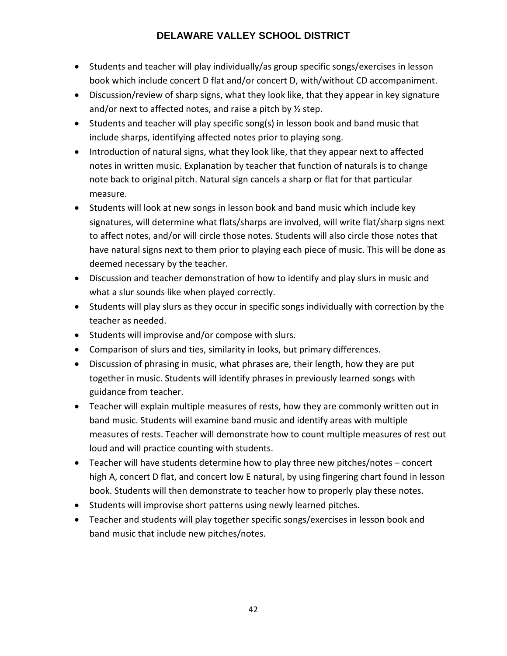- Students and teacher will play individually/as group specific songs/exercises in lesson book which include concert D flat and/or concert D, with/without CD accompaniment.
- Discussion/review of sharp signs, what they look like, that they appear in key signature and/or next to affected notes, and raise a pitch by ½ step.
- Students and teacher will play specific song(s) in lesson book and band music that include sharps, identifying affected notes prior to playing song.
- Introduction of natural signs, what they look like, that they appear next to affected notes in written music. Explanation by teacher that function of naturals is to change note back to original pitch. Natural sign cancels a sharp or flat for that particular measure.
- Students will look at new songs in lesson book and band music which include key signatures, will determine what flats/sharps are involved, will write flat/sharp signs next to affect notes, and/or will circle those notes. Students will also circle those notes that have natural signs next to them prior to playing each piece of music. This will be done as deemed necessary by the teacher.
- Discussion and teacher demonstration of how to identify and play slurs in music and what a slur sounds like when played correctly.
- Students will play slurs as they occur in specific songs individually with correction by the teacher as needed.
- Students will improvise and/or compose with slurs.
- Comparison of slurs and ties, similarity in looks, but primary differences.
- Discussion of phrasing in music, what phrases are, their length, how they are put together in music. Students will identify phrases in previously learned songs with guidance from teacher.
- Teacher will explain multiple measures of rests, how they are commonly written out in band music. Students will examine band music and identify areas with multiple measures of rests. Teacher will demonstrate how to count multiple measures of rest out loud and will practice counting with students.
- Teacher will have students determine how to play three new pitches/notes concert high A, concert D flat, and concert low E natural, by using fingering chart found in lesson book. Students will then demonstrate to teacher how to properly play these notes.
- Students will improvise short patterns using newly learned pitches.
- Teacher and students will play together specific songs/exercises in lesson book and band music that include new pitches/notes.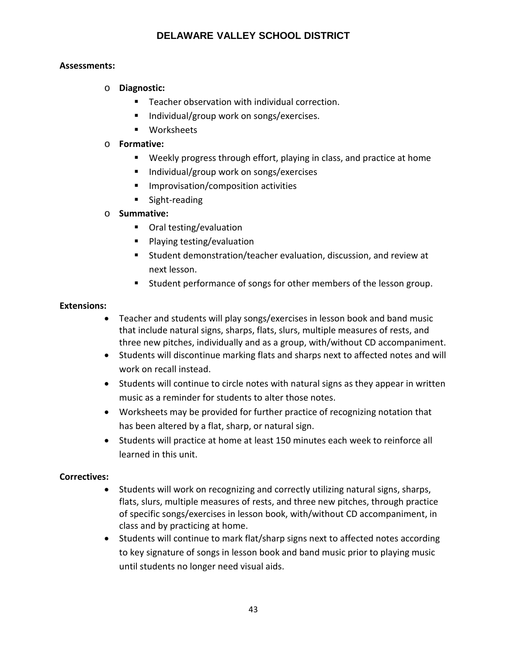# **Assessments:**

# o **Diagnostic:**

- Teacher observation with individual correction.
- Individual/group work on songs/exercises.
- **■** Worksheets

# o **Formative:**

- Weekly progress through effort, playing in class, and practice at home
- Individual/group work on songs/exercises
- **IMPROVISATION**/composition activities
- **Sight-reading**

# o **Summative:**

- Oral testing/evaluation
- **Playing testing/evaluation**
- Student demonstration/teacher evaluation, discussion, and review at next lesson.
- Student performance of songs for other members of the lesson group.

# **Extensions:**

- Teacher and students will play songs/exercises in lesson book and band music that include natural signs, sharps, flats, slurs, multiple measures of rests, and three new pitches, individually and as a group, with/without CD accompaniment.
- Students will discontinue marking flats and sharps next to affected notes and will work on recall instead.
- Students will continue to circle notes with natural signs as they appear in written music as a reminder for students to alter those notes.
- Worksheets may be provided for further practice of recognizing notation that has been altered by a flat, sharp, or natural sign.
- Students will practice at home at least 150 minutes each week to reinforce all learned in this unit.

# **Correctives:**

- Students will work on recognizing and correctly utilizing natural signs, sharps, flats, slurs, multiple measures of rests, and three new pitches, through practice of specific songs/exercises in lesson book, with/without CD accompaniment, in class and by practicing at home.
- Students will continue to mark flat/sharp signs next to affected notes according to key signature of songs in lesson book and band music prior to playing music until students no longer need visual aids.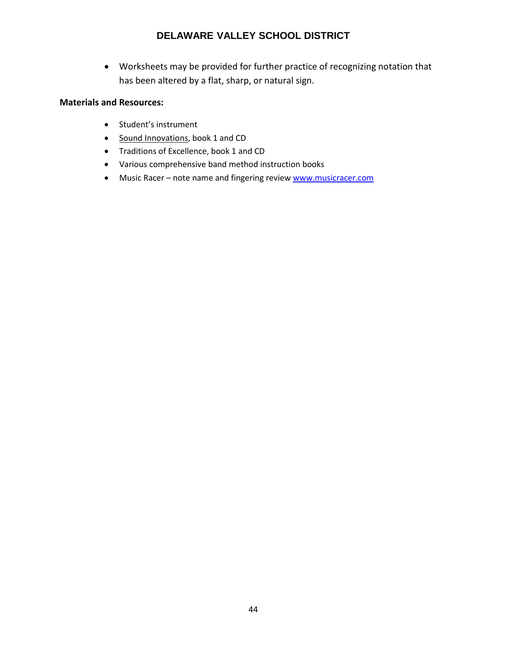• Worksheets may be provided for further practice of recognizing notation that has been altered by a flat, sharp, or natural sign.

- Student's instrument
- Sound Innovations, book 1 and CD
- Traditions of Excellence, book 1 and CD
- Various comprehensive band method instruction books
- Music Racer note name and fingering review [www.musicracer.com](http://www.musicracer.com/)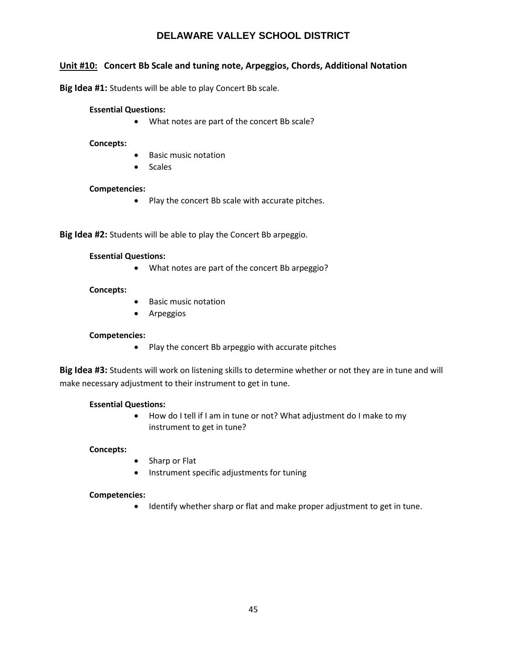# **Unit #10: Concert Bb Scale and tuning note, Arpeggios, Chords, Additional Notation**

**Big Idea #1:** Students will be able to play Concert Bb scale.

#### **Essential Questions:**

• What notes are part of the concert Bb scale?

**Concepts:**

- Basic music notation
- Scales

#### **Competencies:**

• Play the concert Bb scale with accurate pitches.

**Big Idea #2:** Students will be able to play the Concert Bb arpeggio.

#### **Essential Questions:**

• What notes are part of the concert Bb arpeggio?

#### **Concepts:**

- Basic music notation
- Arpeggios

#### **Competencies:**

• Play the concert Bb arpeggio with accurate pitches

**Big Idea #3:** Students will work on listening skills to determine whether or not they are in tune and will make necessary adjustment to their instrument to get in tune.

#### **Essential Questions:**

• How do I tell if I am in tune or not? What adjustment do I make to my instrument to get in tune?

#### **Concepts:**

- Sharp or Flat
- Instrument specific adjustments for tuning

#### **Competencies:**

• Identify whether sharp or flat and make proper adjustment to get in tune.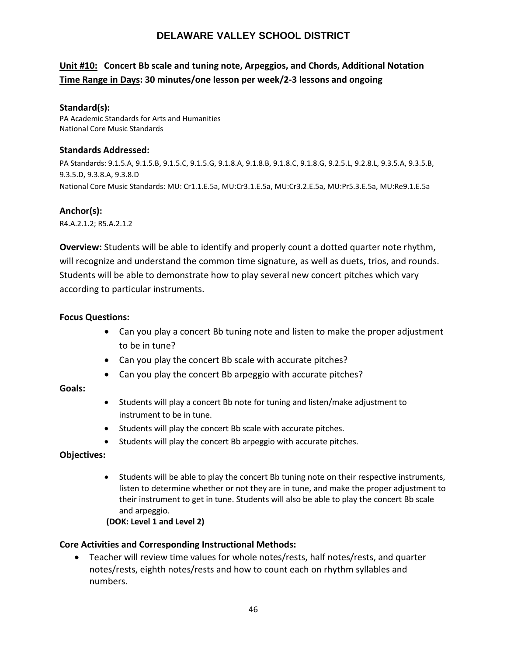# **Unit #10: Concert Bb scale and tuning note, Arpeggios, and Chords, Additional Notation Time Range in Days: 30 minutes/one lesson per week/2-3 lessons and ongoing**

### **Standard(s):**

PA Academic Standards for Arts and Humanities National Core Music Standards

### **Standards Addressed:**

PA Standards: 9.1.5.A, 9.1.5.B, 9.1.5.C, 9.1.5.G, 9.1.8.A, 9.1.8.B, 9.1.8.C, 9.1.8.G, 9.2.5.L, 9.2.8.L, 9.3.5.A, 9.3.5.B, 9.3.5.D, 9.3.8.A, 9.3.8.D National Core Music Standards: MU: Cr1.1.E.5a, MU:Cr3.1.E.5a, MU:Cr3.2.E.5a, MU:Pr5.3.E.5a, MU:Re9.1.E.5a

# **Anchor(s):**

R4.A.2.1.2; R5.A.2.1.2

**Overview:** Students will be able to identify and properly count a dotted quarter note rhythm, will recognize and understand the common time signature, as well as duets, trios, and rounds. Students will be able to demonstrate how to play several new concert pitches which vary according to particular instruments.

# **Focus Questions:**

- Can you play a concert Bb tuning note and listen to make the proper adjustment to be in tune?
- Can you play the concert Bb scale with accurate pitches?
- Can you play the concert Bb arpeggio with accurate pitches?

# **Goals:**

- Students will play a concert Bb note for tuning and listen/make adjustment to instrument to be in tune.
- Students will play the concert Bb scale with accurate pitches.
- Students will play the concert Bb arpeggio with accurate pitches.

# **Objectives:**

• Students will be able to play the concert Bb tuning note on their respective instruments, listen to determine whether or not they are in tune, and make the proper adjustment to their instrument to get in tune. Students will also be able to play the concert Bb scale and arpeggio.

**(DOK: Level 1 and Level 2)**

# **Core Activities and Corresponding Instructional Methods:**

• Teacher will review time values for whole notes/rests, half notes/rests, and quarter notes/rests, eighth notes/rests and how to count each on rhythm syllables and numbers.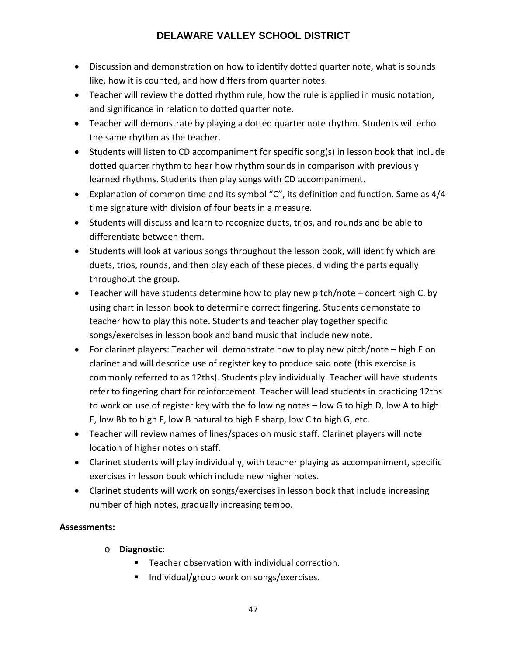- Discussion and demonstration on how to identify dotted quarter note, what is sounds like, how it is counted, and how differs from quarter notes.
- Teacher will review the dotted rhythm rule, how the rule is applied in music notation, and significance in relation to dotted quarter note.
- Teacher will demonstrate by playing a dotted quarter note rhythm. Students will echo the same rhythm as the teacher.
- Students will listen to CD accompaniment for specific song(s) in lesson book that include dotted quarter rhythm to hear how rhythm sounds in comparison with previously learned rhythms. Students then play songs with CD accompaniment.
- Explanation of common time and its symbol "C", its definition and function. Same as 4/4 time signature with division of four beats in a measure.
- Students will discuss and learn to recognize duets, trios, and rounds and be able to differentiate between them.
- Students will look at various songs throughout the lesson book, will identify which are duets, trios, rounds, and then play each of these pieces, dividing the parts equally throughout the group.
- Teacher will have students determine how to play new pitch/note concert high C, by using chart in lesson book to determine correct fingering. Students demonstate to teacher how to play this note. Students and teacher play together specific songs/exercises in lesson book and band music that include new note.
- For clarinet players: Teacher will demonstrate how to play new pitch/note high E on clarinet and will describe use of register key to produce said note (this exercise is commonly referred to as 12ths). Students play individually. Teacher will have students refer to fingering chart for reinforcement. Teacher will lead students in practicing 12ths to work on use of register key with the following notes – low G to high D, low A to high E, low Bb to high F, low B natural to high F sharp, low C to high G, etc.
- Teacher will review names of lines/spaces on music staff. Clarinet players will note location of higher notes on staff.
- Clarinet students will play individually, with teacher playing as accompaniment, specific exercises in lesson book which include new higher notes.
- Clarinet students will work on songs/exercises in lesson book that include increasing number of high notes, gradually increasing tempo.

# **Assessments:**

- o **Diagnostic:**
	- Teacher observation with individual correction.
	- $\blacksquare$  Individual/group work on songs/exercises.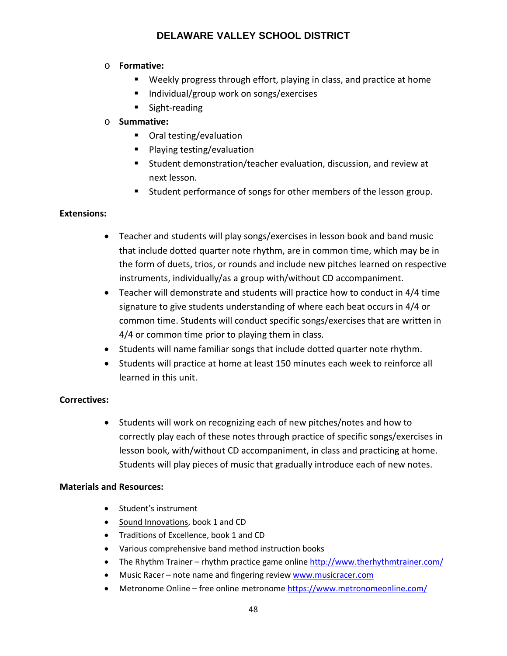# o **Formative:**

- Weekly progress through effort, playing in class, and practice at home
- Individual/group work on songs/exercises
- **Sight-reading**

# o **Summative:**

- Oral testing/evaluation
- **Playing testing/evaluation**
- Student demonstration/teacher evaluation, discussion, and review at next lesson.
- **Student performance of songs for other members of the lesson group.**

# **Extensions:**

- Teacher and students will play songs/exercises in lesson book and band music that include dotted quarter note rhythm, are in common time, which may be in the form of duets, trios, or rounds and include new pitches learned on respective instruments, individually/as a group with/without CD accompaniment.
- Teacher will demonstrate and students will practice how to conduct in 4/4 time signature to give students understanding of where each beat occurs in 4/4 or common time. Students will conduct specific songs/exercises that are written in 4/4 or common time prior to playing them in class.
- Students will name familiar songs that include dotted quarter note rhythm.
- Students will practice at home at least 150 minutes each week to reinforce all learned in this unit.

# **Correctives:**

• Students will work on recognizing each of new pitches/notes and how to correctly play each of these notes through practice of specific songs/exercises in lesson book, with/without CD accompaniment, in class and practicing at home. Students will play pieces of music that gradually introduce each of new notes.

- Student's instrument
- Sound Innovations, book 1 and CD
- Traditions of Excellence, book 1 and CD
- Various comprehensive band method instruction books
- The Rhythm Trainer rhythm practice game online<http://www.therhythmtrainer.com/>
- Music Racer note name and fingering review [www.musicracer.com](http://www.musicracer.com/)
- Metronome Online free online metronome<https://www.metronomeonline.com/>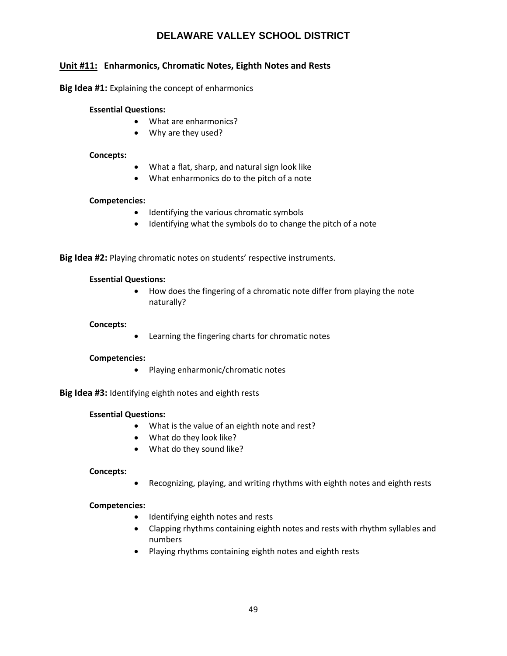# **Unit #11: Enharmonics, Chromatic Notes, Eighth Notes and Rests**

**Big Idea #1:** Explaining the concept of enharmonics

#### **Essential Questions:**

- What are enharmonics?
- Why are they used?

#### **Concepts:**

- What a flat, sharp, and natural sign look like
- What enharmonics do to the pitch of a note

#### **Competencies:**

- Identifying the various chromatic symbols
- Identifying what the symbols do to change the pitch of a note

**Big Idea #2:** Playing chromatic notes on students' respective instruments.

#### **Essential Questions:**

• How does the fingering of a chromatic note differ from playing the note naturally?

#### **Concepts:**

• Learning the fingering charts for chromatic notes

#### **Competencies:**

• Playing enharmonic/chromatic notes

**Big Idea #3:** Identifying eighth notes and eighth rests

#### **Essential Questions:**

- What is the value of an eighth note and rest?
- What do they look like?
- What do they sound like?

#### **Concepts:**

• Recognizing, playing, and writing rhythms with eighth notes and eighth rests

#### **Competencies:**

- Identifying eighth notes and rests
- Clapping rhythms containing eighth notes and rests with rhythm syllables and numbers
- Playing rhythms containing eighth notes and eighth rests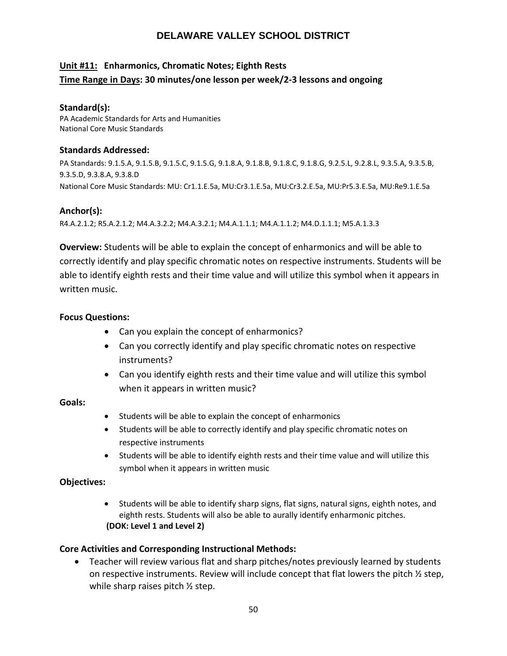# **Unit #11: Enharmonics, Chromatic Notes; Eighth Rests Time Range in Days: 30 minutes/one lesson per week/2-3 lessons and ongoing**

### **Standard(s):**

PA Academic Standards for Arts and Humanities National Core Music Standards

### **Standards Addressed:**

PA Standards: 9.1.5.A, 9.1.5.B, 9.1.5.C, 9.1.5.G, 9.1.8.A, 9.1.8.B, 9.1.8.C, 9.1.8.G, 9.2.5.L, 9.2.8.L, 9.3.5.A, 9.3.5.B, 9.3.5.D, 9.3.8.A, 9.3.8.D National Core Music Standards: MU: Cr1.1.E.5a, MU:Cr3.1.E.5a, MU:Cr3.2.E.5a, MU:Pr5.3.E.5a, MU:Re9.1.E.5a

# **Anchor(s):**

R4.A.2.1.2; R5.A.2.1.2; M4.A.3.2.2; M4.A.3.2.1; M4.A.1.1.1; M4.A.1.1.2; M4.D.1.1.1; M5.A.1.3.3

**Overview:** Students will be able to explain the concept of enharmonics and will be able to correctly identify and play specific chromatic notes on respective instruments. Students will be able to identify eighth rests and their time value and will utilize this symbol when it appears in written music.

### **Focus Questions:**

- Can you explain the concept of enharmonics?
- Can you correctly identify and play specific chromatic notes on respective instruments?
- Can you identify eighth rests and their time value and will utilize this symbol when it appears in written music?

# **Goals:**

- Students will be able to explain the concept of enharmonics
- Students will be able to correctly identify and play specific chromatic notes on respective instruments
- Students will be able to identify eighth rests and their time value and will utilize this symbol when it appears in written music

# **Objectives:**

• Students will be able to identify sharp signs, flat signs, natural signs, eighth notes, and eighth rests. Students will also be able to aurally identify enharmonic pitches. **(DOK: Level 1 and Level 2)**

# **Core Activities and Corresponding Instructional Methods:**

• Teacher will review various flat and sharp pitches/notes previously learned by students on respective instruments. Review will include concept that flat lowers the pitch ½ step, while sharp raises pitch ½ step.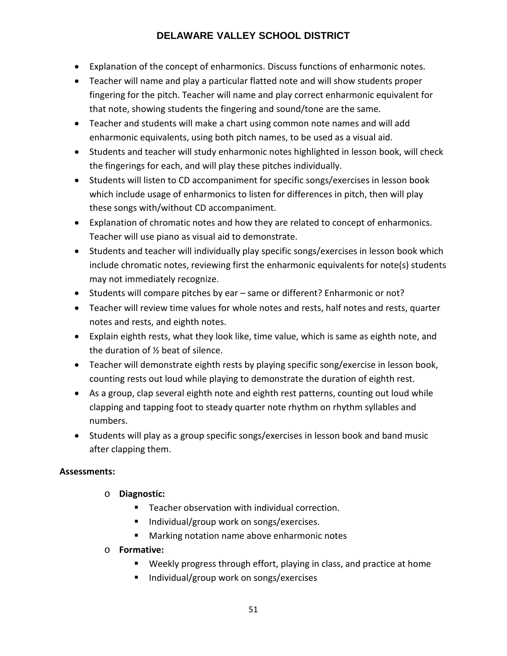- Explanation of the concept of enharmonics. Discuss functions of enharmonic notes.
- Teacher will name and play a particular flatted note and will show students proper fingering for the pitch. Teacher will name and play correct enharmonic equivalent for that note, showing students the fingering and sound/tone are the same.
- Teacher and students will make a chart using common note names and will add enharmonic equivalents, using both pitch names, to be used as a visual aid.
- Students and teacher will study enharmonic notes highlighted in lesson book, will check the fingerings for each, and will play these pitches individually.
- Students will listen to CD accompaniment for specific songs/exercises in lesson book which include usage of enharmonics to listen for differences in pitch, then will play these songs with/without CD accompaniment.
- Explanation of chromatic notes and how they are related to concept of enharmonics. Teacher will use piano as visual aid to demonstrate.
- Students and teacher will individually play specific songs/exercises in lesson book which include chromatic notes, reviewing first the enharmonic equivalents for note(s) students may not immediately recognize.
- Students will compare pitches by ear same or different? Enharmonic or not?
- Teacher will review time values for whole notes and rests, half notes and rests, quarter notes and rests, and eighth notes.
- Explain eighth rests, what they look like, time value, which is same as eighth note, and the duration of ½ beat of silence.
- Teacher will demonstrate eighth rests by playing specific song/exercise in lesson book, counting rests out loud while playing to demonstrate the duration of eighth rest.
- As a group, clap several eighth note and eighth rest patterns, counting out loud while clapping and tapping foot to steady quarter note rhythm on rhythm syllables and numbers.
- Students will play as a group specific songs/exercises in lesson book and band music after clapping them.

# **Assessments:**

- o **Diagnostic:**
	- **Teacher observation with individual correction.**
	- Individual/group work on songs/exercises.
	- Marking notation name above enharmonic notes
- o **Formative:** 
	- Weekly progress through effort, playing in class, and practice at home
	- Individual/group work on songs/exercises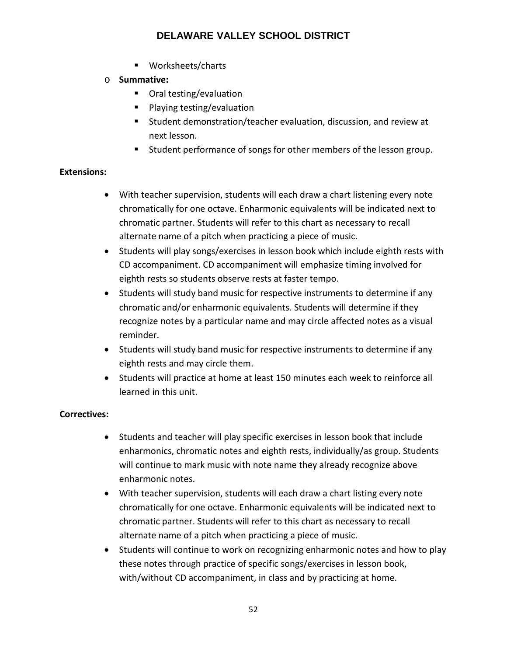- Worksheets/charts
- o **Summative:**
	- Oral testing/evaluation
	- **Playing testing/evaluation**
	- Student demonstration/teacher evaluation, discussion, and review at next lesson.
	- **EXECT** Student performance of songs for other members of the lesson group.

# **Extensions:**

- With teacher supervision, students will each draw a chart listening every note chromatically for one octave. Enharmonic equivalents will be indicated next to chromatic partner. Students will refer to this chart as necessary to recall alternate name of a pitch when practicing a piece of music.
- Students will play songs/exercises in lesson book which include eighth rests with CD accompaniment. CD accompaniment will emphasize timing involved for eighth rests so students observe rests at faster tempo.
- Students will study band music for respective instruments to determine if any chromatic and/or enharmonic equivalents. Students will determine if they recognize notes by a particular name and may circle affected notes as a visual reminder.
- Students will study band music for respective instruments to determine if any eighth rests and may circle them.
- Students will practice at home at least 150 minutes each week to reinforce all learned in this unit.

# **Correctives:**

- Students and teacher will play specific exercises in lesson book that include enharmonics, chromatic notes and eighth rests, individually/as group. Students will continue to mark music with note name they already recognize above enharmonic notes.
- With teacher supervision, students will each draw a chart listing every note chromatically for one octave. Enharmonic equivalents will be indicated next to chromatic partner. Students will refer to this chart as necessary to recall alternate name of a pitch when practicing a piece of music.
- Students will continue to work on recognizing enharmonic notes and how to play these notes through practice of specific songs/exercises in lesson book, with/without CD accompaniment, in class and by practicing at home.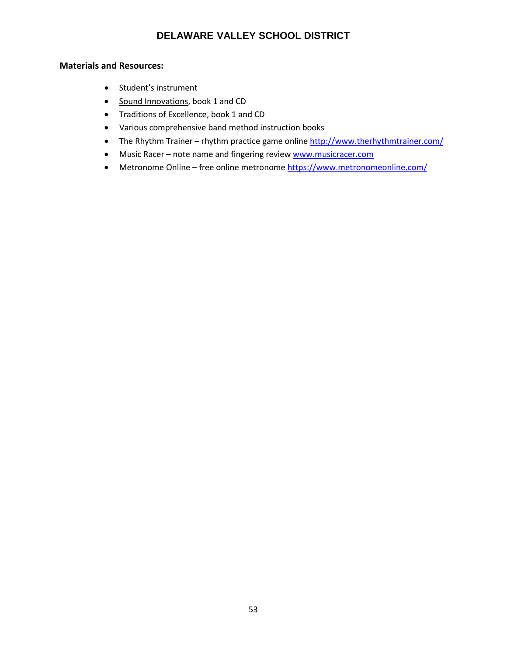- Student's instrument
- Sound Innovations, book 1 and CD
- Traditions of Excellence, book 1 and CD
- Various comprehensive band method instruction books
- The Rhythm Trainer rhythm practice game online<http://www.therhythmtrainer.com/>
- Music Racer note name and fingering review [www.musicracer.com](http://www.musicracer.com/)
- Metronome Online free online metronome<https://www.metronomeonline.com/>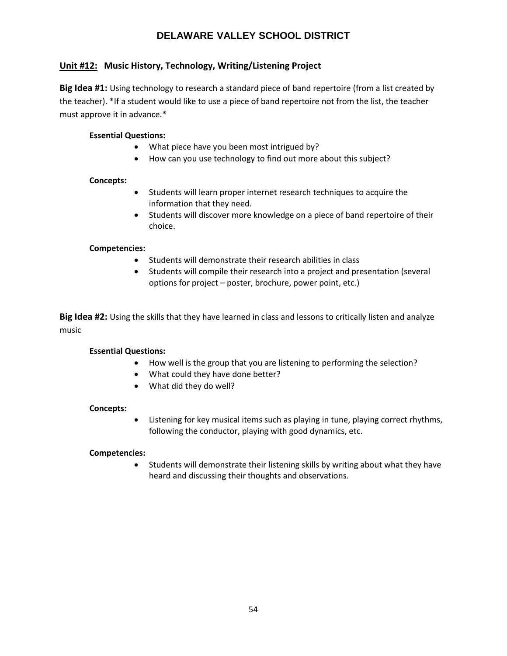# **Unit #12: Music History, Technology, Writing/Listening Project**

**Big Idea #1:** Using technology to research a standard piece of band repertoire (from a list created by the teacher). \*If a student would like to use a piece of band repertoire not from the list, the teacher must approve it in advance.\*

### **Essential Questions:**

- What piece have you been most intrigued by?
- How can you use technology to find out more about this subject?

#### **Concepts:**

- Students will learn proper internet research techniques to acquire the information that they need.
- Students will discover more knowledge on a piece of band repertoire of their choice.

### **Competencies:**

- Students will demonstrate their research abilities in class
- Students will compile their research into a project and presentation (several options for project – poster, brochure, power point, etc.)

**Big Idea #2:** Using the skills that they have learned in class and lessons to critically listen and analyze music

#### **Essential Questions:**

- How well is the group that you are listening to performing the selection?
- What could they have done better?
- What did they do well?

#### **Concepts:**

• Listening for key musical items such as playing in tune, playing correct rhythms, following the conductor, playing with good dynamics, etc.

#### **Competencies:**

• Students will demonstrate their listening skills by writing about what they have heard and discussing their thoughts and observations.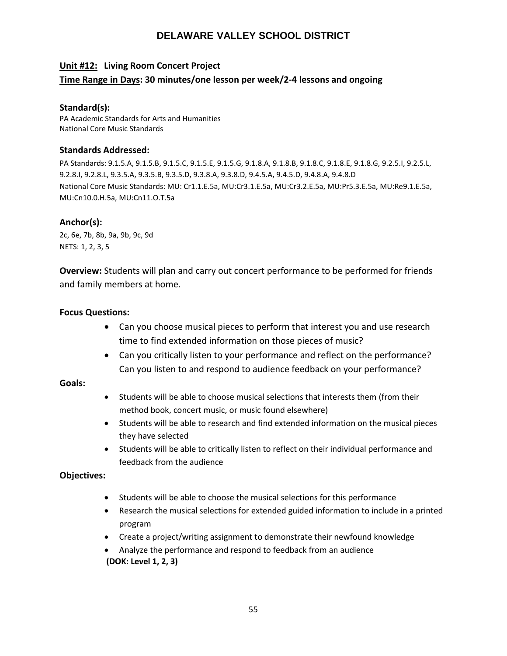# **Unit #12: Living Room Concert Project**

# **Time Range in Days: 30 minutes/one lesson per week/2-4 lessons and ongoing**

#### **Standard(s):**

PA Academic Standards for Arts and Humanities National Core Music Standards

### **Standards Addressed:**

PA Standards: 9.1.5.A, 9.1.5.B, 9.1.5.C, 9.1.5.E, 9.1.5.G, 9.1.8.A, 9.1.8.B, 9.1.8.C, 9.1.8.E, 9.1.8.G, 9.2.5.I, 9.2.5.L, 9.2.8.I, 9.2.8.L, 9.3.5.A, 9.3.5.B, 9.3.5.D, 9.3.8.A, 9.3.8.D, 9.4.5.A, 9.4.5.D, 9.4.8.A, 9.4.8.D National Core Music Standards: MU: Cr1.1.E.5a, MU:Cr3.1.E.5a, MU:Cr3.2.E.5a, MU:Pr5.3.E.5a, MU:Re9.1.E.5a, MU:Cn10.0.H.5a, MU:Cn11.O.T.5a

# **Anchor(s):**

2c, 6e, 7b, 8b, 9a, 9b, 9c, 9d NETS: 1, 2, 3, 5

**Overview:** Students will plan and carry out concert performance to be performed for friends and family members at home.

# **Focus Questions:**

- Can you choose musical pieces to perform that interest you and use research time to find extended information on those pieces of music?
- Can you critically listen to your performance and reflect on the performance? Can you listen to and respond to audience feedback on your performance?

#### **Goals:**

- Students will be able to choose musical selections that interests them (from their method book, concert music, or music found elsewhere)
- Students will be able to research and find extended information on the musical pieces they have selected
- Students will be able to critically listen to reflect on their individual performance and feedback from the audience

# **Objectives:**

- Students will be able to choose the musical selections for this performance
- Research the musical selections for extended guided information to include in a printed program
- Create a project/writing assignment to demonstrate their newfound knowledge
- Analyze the performance and respond to feedback from an audience **(DOK: Level 1, 2, 3)**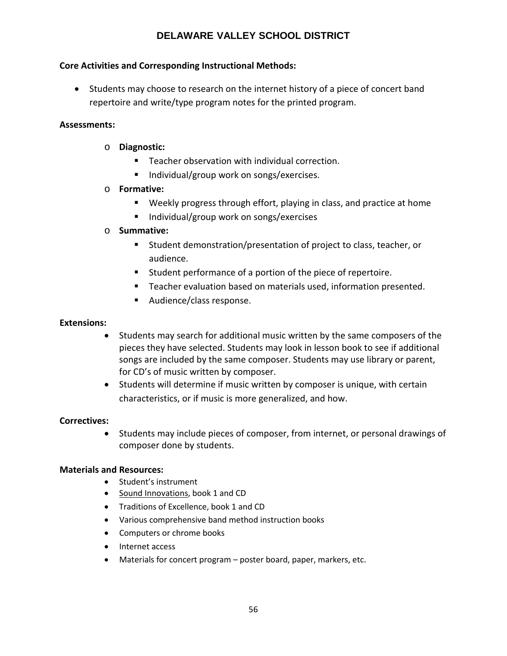# **Core Activities and Corresponding Instructional Methods:**

• Students may choose to research on the internet history of a piece of concert band repertoire and write/type program notes for the printed program.

# **Assessments:**

- o **Diagnostic:**
	- Teacher observation with individual correction.
	- $\blacksquare$  Individual/group work on songs/exercises.

# o **Formative:**

- Weekly progress through effort, playing in class, and practice at home
- Individual/group work on songs/exercises

# o **Summative:**

- Student demonstration/presentation of project to class, teacher, or audience.
- Student performance of a portion of the piece of repertoire.
- **Teacher evaluation based on materials used, information presented.**
- Audience/class response.

### **Extensions:**

- Students may search for additional music written by the same composers of the pieces they have selected. Students may look in lesson book to see if additional songs are included by the same composer. Students may use library or parent, for CD's of music written by composer.
- Students will determine if music written by composer is unique, with certain characteristics, or if music is more generalized, and how.

# **Correctives:**

• Students may include pieces of composer, from internet, or personal drawings of composer done by students.

- Student's instrument
- Sound Innovations, book 1 and CD
- Traditions of Excellence, book 1 and CD
- Various comprehensive band method instruction books
- Computers or chrome books
- Internet access
- Materials for concert program poster board, paper, markers, etc.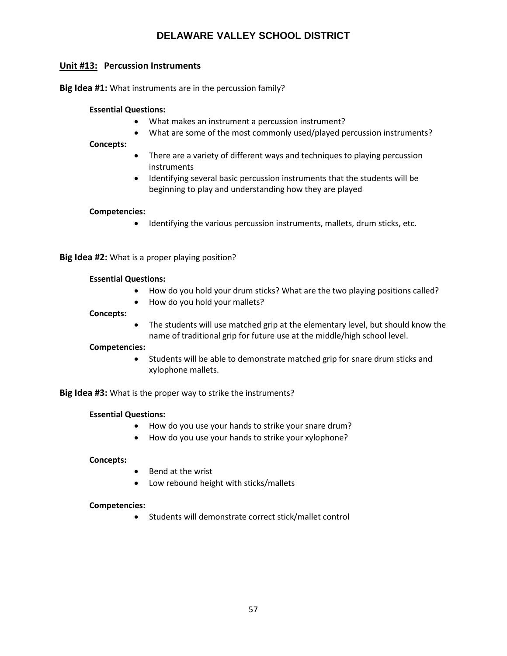# **Unit #13: Percussion Instruments**

**Big Idea #1:** What instruments are in the percussion family?

#### **Essential Questions:**

- What makes an instrument a percussion instrument?
- What are some of the most commonly used/played percussion instruments?

#### **Concepts:**

- There are a variety of different ways and techniques to playing percussion instruments
- Identifying several basic percussion instruments that the students will be beginning to play and understanding how they are played

#### **Competencies:**

• Identifying the various percussion instruments, mallets, drum sticks, etc.

**Big Idea #2:** What is a proper playing position?

#### **Essential Questions:**

- How do you hold your drum sticks? What are the two playing positions called?
- How do you hold your mallets?

#### **Concepts:**

• The students will use matched grip at the elementary level, but should know the name of traditional grip for future use at the middle/high school level.

#### **Competencies:**

• Students will be able to demonstrate matched grip for snare drum sticks and xylophone mallets.

**Big Idea #3:** What is the proper way to strike the instruments?

#### **Essential Questions:**

- How do you use your hands to strike your snare drum?
- How do you use your hands to strike your xylophone?

#### **Concepts:**

- Bend at the wrist
- Low rebound height with sticks/mallets

#### **Competencies:**

• Students will demonstrate correct stick/mallet control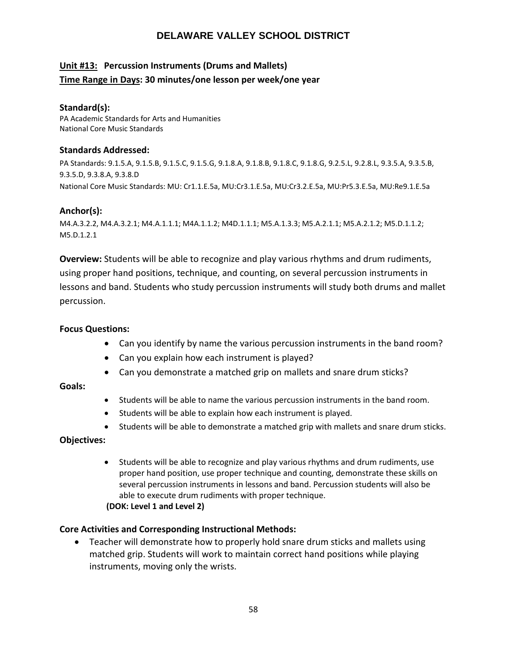# **Unit #13: Percussion Instruments (Drums and Mallets) Time Range in Days: 30 minutes/one lesson per week/one year**

### **Standard(s):**

PA Academic Standards for Arts and Humanities National Core Music Standards

### **Standards Addressed:**

PA Standards: 9.1.5.A, 9.1.5.B, 9.1.5.C, 9.1.5.G, 9.1.8.A, 9.1.8.B, 9.1.8.C, 9.1.8.G, 9.2.5.L, 9.2.8.L, 9.3.5.A, 9.3.5.B, 9.3.5.D, 9.3.8.A, 9.3.8.D National Core Music Standards: MU: Cr1.1.E.5a, MU:Cr3.1.E.5a, MU:Cr3.2.E.5a, MU:Pr5.3.E.5a, MU:Re9.1.E.5a

# **Anchor(s):**

M4.A.3.2.2, M4.A.3.2.1; M4.A.1.1.1; M4A.1.1.2; M4D.1.1.1; M5.A.1.3.3; M5.A.2.1.1; M5.A.2.1.2; M5.D.1.1.2; M5.D.1.2.1

**Overview:** Students will be able to recognize and play various rhythms and drum rudiments, using proper hand positions, technique, and counting, on several percussion instruments in lessons and band. Students who study percussion instruments will study both drums and mallet percussion.

# **Focus Questions:**

- Can you identify by name the various percussion instruments in the band room?
- Can you explain how each instrument is played?
- Can you demonstrate a matched grip on mallets and snare drum sticks?

# **Goals:**

- Students will be able to name the various percussion instruments in the band room.
- Students will be able to explain how each instrument is played.
- Students will be able to demonstrate a matched grip with mallets and snare drum sticks.

# **Objectives:**

• Students will be able to recognize and play various rhythms and drum rudiments, use proper hand position, use proper technique and counting, demonstrate these skills on several percussion instruments in lessons and band. Percussion students will also be able to execute drum rudiments with proper technique.

# **(DOK: Level 1 and Level 2)**

# **Core Activities and Corresponding Instructional Methods:**

• Teacher will demonstrate how to properly hold snare drum sticks and mallets using matched grip. Students will work to maintain correct hand positions while playing instruments, moving only the wrists.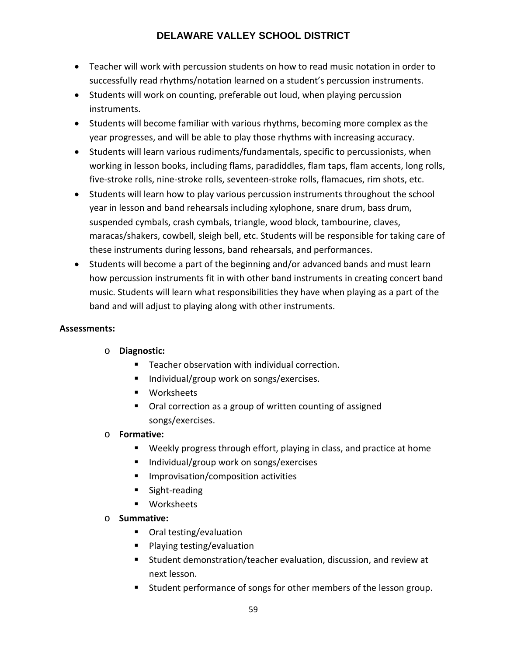- Teacher will work with percussion students on how to read music notation in order to successfully read rhythms/notation learned on a student's percussion instruments.
- Students will work on counting, preferable out loud, when playing percussion instruments.
- Students will become familiar with various rhythms, becoming more complex as the year progresses, and will be able to play those rhythms with increasing accuracy.
- Students will learn various rudiments/fundamentals, specific to percussionists, when working in lesson books, including flams, paradiddles, flam taps, flam accents, long rolls, five-stroke rolls, nine-stroke rolls, seventeen-stroke rolls, flamacues, rim shots, etc.
- Students will learn how to play various percussion instruments throughout the school year in lesson and band rehearsals including xylophone, snare drum, bass drum, suspended cymbals, crash cymbals, triangle, wood block, tambourine, claves, maracas/shakers, cowbell, sleigh bell, etc. Students will be responsible for taking care of these instruments during lessons, band rehearsals, and performances.
- Students will become a part of the beginning and/or advanced bands and must learn how percussion instruments fit in with other band instruments in creating concert band music. Students will learn what responsibilities they have when playing as a part of the band and will adjust to playing along with other instruments.

# **Assessments:**

# o **Diagnostic:**

- **F** Teacher observation with individual correction.
- Individual/group work on songs/exercises.
- **■** Worksheets
- Oral correction as a group of written counting of assigned songs/exercises.

# o **Formative:**

- Weekly progress through effort, playing in class, and practice at home
- Individual/group work on songs/exercises
- **Improvisation/composition activities**
- **Sight-reading**
- **■** Worksheets

# o **Summative:**

- Oral testing/evaluation
- **Playing testing/evaluation**
- Student demonstration/teacher evaluation, discussion, and review at next lesson.
- **Student performance of songs for other members of the lesson group.**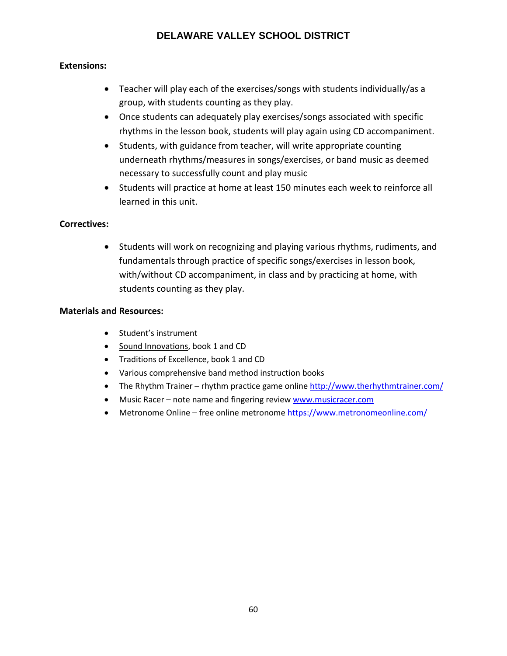# **Extensions:**

- Teacher will play each of the exercises/songs with students individually/as a group, with students counting as they play.
- Once students can adequately play exercises/songs associated with specific rhythms in the lesson book, students will play again using CD accompaniment.
- Students, with guidance from teacher, will write appropriate counting underneath rhythms/measures in songs/exercises, or band music as deemed necessary to successfully count and play music
- Students will practice at home at least 150 minutes each week to reinforce all learned in this unit.

# **Correctives:**

• Students will work on recognizing and playing various rhythms, rudiments, and fundamentals through practice of specific songs/exercises in lesson book, with/without CD accompaniment, in class and by practicing at home, with students counting as they play.

- Student's instrument
- Sound Innovations, book 1 and CD
- Traditions of Excellence, book 1 and CD
- Various comprehensive band method instruction books
- The Rhythm Trainer rhythm practice game online<http://www.therhythmtrainer.com/>
- Music Racer note name and fingering review [www.musicracer.com](http://www.musicracer.com/)
- Metronome Online free online metronome<https://www.metronomeonline.com/>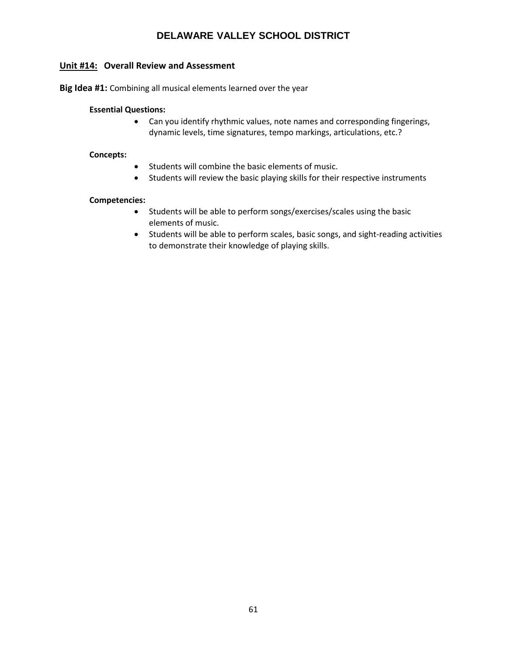# **Unit #14: Overall Review and Assessment**

**Big Idea #1:** Combining all musical elements learned over the year

#### **Essential Questions:**

• Can you identify rhythmic values, note names and corresponding fingerings, dynamic levels, time signatures, tempo markings, articulations, etc.?

#### **Concepts:**

- Students will combine the basic elements of music.
- Students will review the basic playing skills for their respective instruments

#### **Competencies:**

- Students will be able to perform songs/exercises/scales using the basic elements of music.
- Students will be able to perform scales, basic songs, and sight-reading activities to demonstrate their knowledge of playing skills.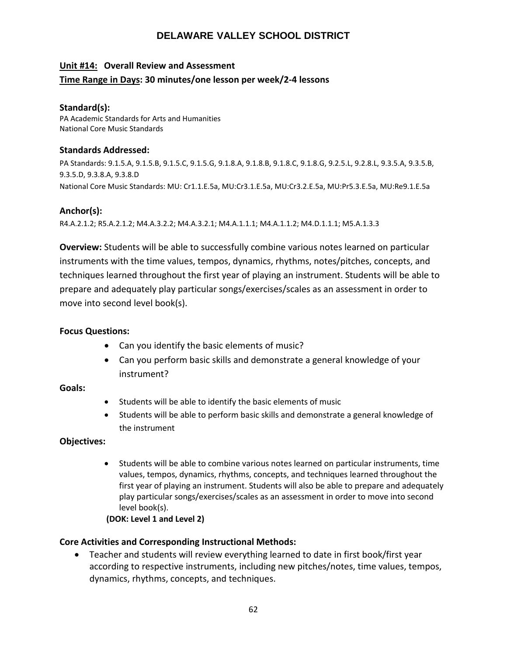# **Unit #14: Overall Review and Assessment Time Range in Days: 30 minutes/one lesson per week/2-4 lessons**

# **Standard(s):**

PA Academic Standards for Arts and Humanities National Core Music Standards

### **Standards Addressed:**

PA Standards: 9.1.5.A, 9.1.5.B, 9.1.5.C, 9.1.5.G, 9.1.8.A, 9.1.8.B, 9.1.8.C, 9.1.8.G, 9.2.5.L, 9.2.8.L, 9.3.5.A, 9.3.5.B, 9.3.5.D, 9.3.8.A, 9.3.8.D National Core Music Standards: MU: Cr1.1.E.5a, MU:Cr3.1.E.5a, MU:Cr3.2.E.5a, MU:Pr5.3.E.5a, MU:Re9.1.E.5a

# **Anchor(s):**

R4.A.2.1.2; R5.A.2.1.2; M4.A.3.2.2; M4.A.3.2.1; M4.A.1.1.1; M4.A.1.1.2; M4.D.1.1.1; M5.A.1.3.3

**Overview:** Students will be able to successfully combine various notes learned on particular instruments with the time values, tempos, dynamics, rhythms, notes/pitches, concepts, and techniques learned throughout the first year of playing an instrument. Students will be able to prepare and adequately play particular songs/exercises/scales as an assessment in order to move into second level book(s).

# **Focus Questions:**

- Can you identify the basic elements of music?
- Can you perform basic skills and demonstrate a general knowledge of your instrument?

# **Goals:**

- Students will be able to identify the basic elements of music
- Students will be able to perform basic skills and demonstrate a general knowledge of the instrument

# **Objectives:**

• Students will be able to combine various notes learned on particular instruments, time values, tempos, dynamics, rhythms, concepts, and techniques learned throughout the first year of playing an instrument. Students will also be able to prepare and adequately play particular songs/exercises/scales as an assessment in order to move into second level book(s).

# **(DOK: Level 1 and Level 2)**

# **Core Activities and Corresponding Instructional Methods:**

• Teacher and students will review everything learned to date in first book/first year according to respective instruments, including new pitches/notes, time values, tempos, dynamics, rhythms, concepts, and techniques.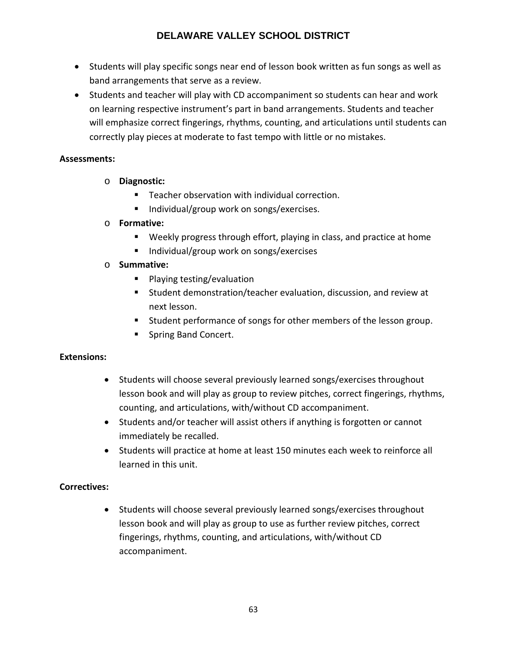- Students will play specific songs near end of lesson book written as fun songs as well as band arrangements that serve as a review.
- Students and teacher will play with CD accompaniment so students can hear and work on learning respective instrument's part in band arrangements. Students and teacher will emphasize correct fingerings, rhythms, counting, and articulations until students can correctly play pieces at moderate to fast tempo with little or no mistakes.

# **Assessments:**

- o **Diagnostic:**
	- **Teacher observation with individual correction.**
	- Individual/group work on songs/exercises.
- o **Formative:** 
	- Weekly progress through effort, playing in class, and practice at home
	- Individual/group work on songs/exercises
- o **Summative:**
	- **Playing testing/evaluation**
	- Student demonstration/teacher evaluation, discussion, and review at next lesson.
	- Student performance of songs for other members of the lesson group.
	- **Spring Band Concert.**

# **Extensions:**

- Students will choose several previously learned songs/exercises throughout lesson book and will play as group to review pitches, correct fingerings, rhythms, counting, and articulations, with/without CD accompaniment.
- Students and/or teacher will assist others if anything is forgotten or cannot immediately be recalled.
- Students will practice at home at least 150 minutes each week to reinforce all learned in this unit.

# **Correctives:**

• Students will choose several previously learned songs/exercises throughout lesson book and will play as group to use as further review pitches, correct fingerings, rhythms, counting, and articulations, with/without CD accompaniment.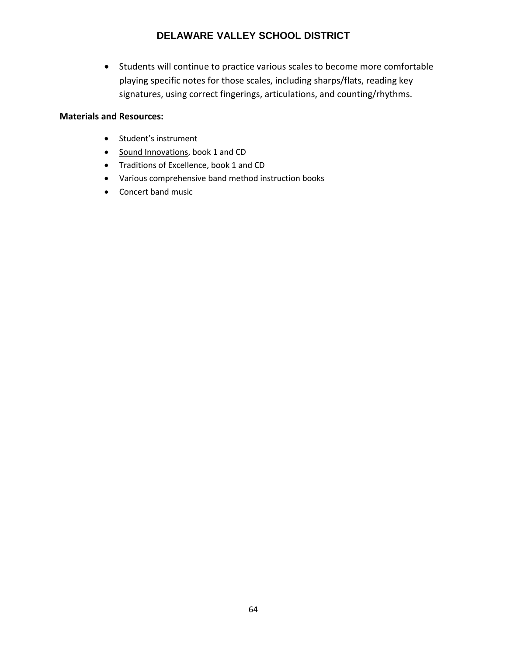• Students will continue to practice various scales to become more comfortable playing specific notes for those scales, including sharps/flats, reading key signatures, using correct fingerings, articulations, and counting/rhythms.

- Student's instrument
- Sound Innovations, book 1 and CD
- Traditions of Excellence, book 1 and CD
- Various comprehensive band method instruction books
- Concert band music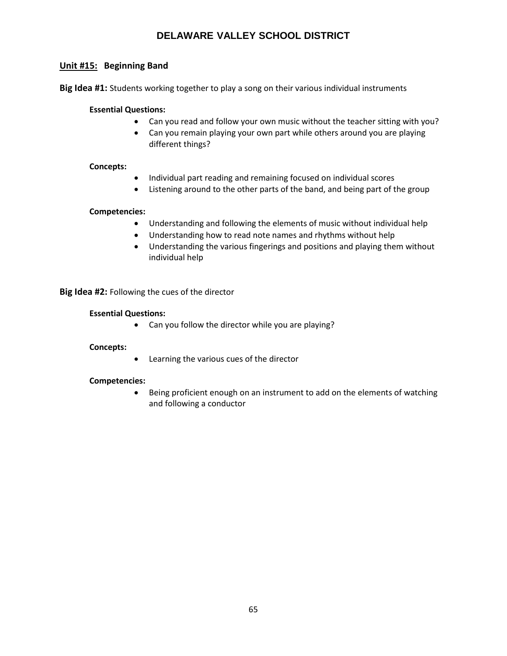# **Unit #15: Beginning Band**

**Big Idea #1:** Students working together to play a song on their various individual instruments

#### **Essential Questions:**

- Can you read and follow your own music without the teacher sitting with you?
- Can you remain playing your own part while others around you are playing different things?

#### **Concepts:**

- Individual part reading and remaining focused on individual scores
- Listening around to the other parts of the band, and being part of the group

#### **Competencies:**

- Understanding and following the elements of music without individual help
- Understanding how to read note names and rhythms without help
- Understanding the various fingerings and positions and playing them without individual help

**Big Idea #2:** Following the cues of the director

#### **Essential Questions:**

• Can you follow the director while you are playing?

#### **Concepts:**

• Learning the various cues of the director

#### **Competencies:**

• Being proficient enough on an instrument to add on the elements of watching and following a conductor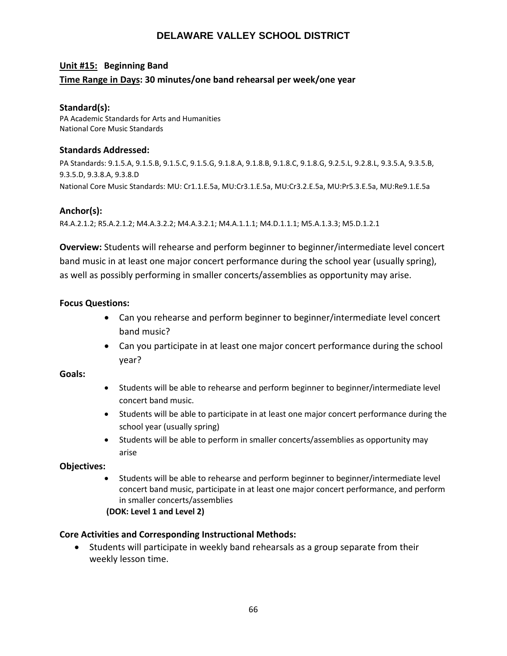# **Unit #15: Beginning Band Time Range in Days: 30 minutes/one band rehearsal per week/one year**

# **Standard(s):**

PA Academic Standards for Arts and Humanities National Core Music Standards

### **Standards Addressed:**

PA Standards: 9.1.5.A, 9.1.5.B, 9.1.5.C, 9.1.5.G, 9.1.8.A, 9.1.8.B, 9.1.8.C, 9.1.8.G, 9.2.5.L, 9.2.8.L, 9.3.5.A, 9.3.5.B, 9.3.5.D, 9.3.8.A, 9.3.8.D National Core Music Standards: MU: Cr1.1.E.5a, MU:Cr3.1.E.5a, MU:Cr3.2.E.5a, MU:Pr5.3.E.5a, MU:Re9.1.E.5a

# **Anchor(s):**

R4.A.2.1.2; R5.A.2.1.2; M4.A.3.2.2; M4.A.3.2.1; M4.A.1.1.1; M4.D.1.1.1; M5.A.1.3.3; M5.D.1.2.1

**Overview:** Students will rehearse and perform beginner to beginner/intermediate level concert band music in at least one major concert performance during the school year (usually spring), as well as possibly performing in smaller concerts/assemblies as opportunity may arise.

# **Focus Questions:**

- Can you rehearse and perform beginner to beginner/intermediate level concert band music?
- Can you participate in at least one major concert performance during the school year?

# **Goals:**

- Students will be able to rehearse and perform beginner to beginner/intermediate level concert band music.
- Students will be able to participate in at least one major concert performance during the school year (usually spring)
- Students will be able to perform in smaller concerts/assemblies as opportunity may arise

# **Objectives:**

• Students will be able to rehearse and perform beginner to beginner/intermediate level concert band music, participate in at least one major concert performance, and perform in smaller concerts/assemblies

#### **(DOK: Level 1 and Level 2)**

# **Core Activities and Corresponding Instructional Methods:**

• Students will participate in weekly band rehearsals as a group separate from their weekly lesson time.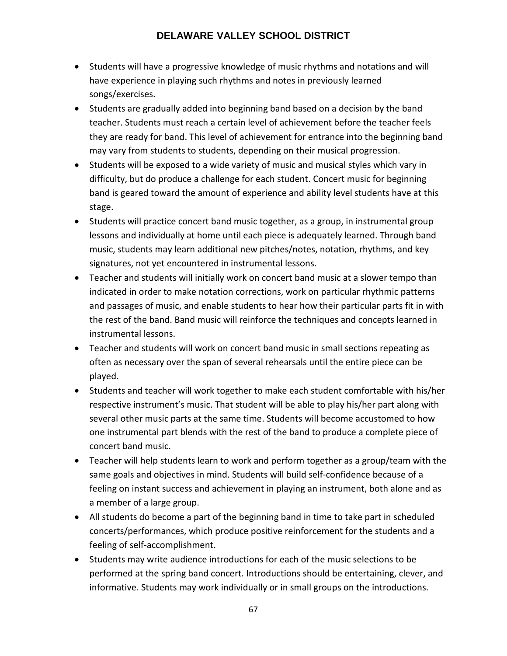- Students will have a progressive knowledge of music rhythms and notations and will have experience in playing such rhythms and notes in previously learned songs/exercises.
- Students are gradually added into beginning band based on a decision by the band teacher. Students must reach a certain level of achievement before the teacher feels they are ready for band. This level of achievement for entrance into the beginning band may vary from students to students, depending on their musical progression.
- Students will be exposed to a wide variety of music and musical styles which vary in difficulty, but do produce a challenge for each student. Concert music for beginning band is geared toward the amount of experience and ability level students have at this stage.
- Students will practice concert band music together, as a group, in instrumental group lessons and individually at home until each piece is adequately learned. Through band music, students may learn additional new pitches/notes, notation, rhythms, and key signatures, not yet encountered in instrumental lessons.
- Teacher and students will initially work on concert band music at a slower tempo than indicated in order to make notation corrections, work on particular rhythmic patterns and passages of music, and enable students to hear how their particular parts fit in with the rest of the band. Band music will reinforce the techniques and concepts learned in instrumental lessons.
- Teacher and students will work on concert band music in small sections repeating as often as necessary over the span of several rehearsals until the entire piece can be played.
- Students and teacher will work together to make each student comfortable with his/her respective instrument's music. That student will be able to play his/her part along with several other music parts at the same time. Students will become accustomed to how one instrumental part blends with the rest of the band to produce a complete piece of concert band music.
- Teacher will help students learn to work and perform together as a group/team with the same goals and objectives in mind. Students will build self-confidence because of a feeling on instant success and achievement in playing an instrument, both alone and as a member of a large group.
- All students do become a part of the beginning band in time to take part in scheduled concerts/performances, which produce positive reinforcement for the students and a feeling of self-accomplishment.
- Students may write audience introductions for each of the music selections to be performed at the spring band concert. Introductions should be entertaining, clever, and informative. Students may work individually or in small groups on the introductions.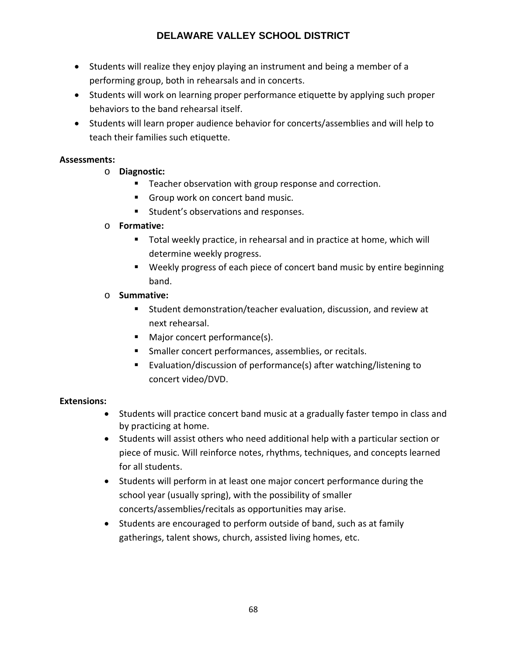- Students will realize they enjoy playing an instrument and being a member of a performing group, both in rehearsals and in concerts.
- Students will work on learning proper performance etiquette by applying such proper behaviors to the band rehearsal itself.
- Students will learn proper audience behavior for concerts/assemblies and will help to teach their families such etiquette.

# **Assessments:**

- o **Diagnostic:**
	- **Teacher observation with group response and correction.**
	- Group work on concert band music.
	- **Student's observations and responses.**

# o **Formative:**

- **Total weekly practice, in rehearsal and in practice at home, which will** determine weekly progress.
- Weekly progress of each piece of concert band music by entire beginning band.

# o **Summative:**

- Student demonstration/teacher evaluation, discussion, and review at next rehearsal.
- Major concert performance(s).
- **Smaller concert performances, assemblies, or recitals.**
- Evaluation/discussion of performance(s) after watching/listening to concert video/DVD.

# **Extensions:**

- Students will practice concert band music at a gradually faster tempo in class and by practicing at home.
- Students will assist others who need additional help with a particular section or piece of music. Will reinforce notes, rhythms, techniques, and concepts learned for all students.
- Students will perform in at least one major concert performance during the school year (usually spring), with the possibility of smaller concerts/assemblies/recitals as opportunities may arise.
- Students are encouraged to perform outside of band, such as at family gatherings, talent shows, church, assisted living homes, etc.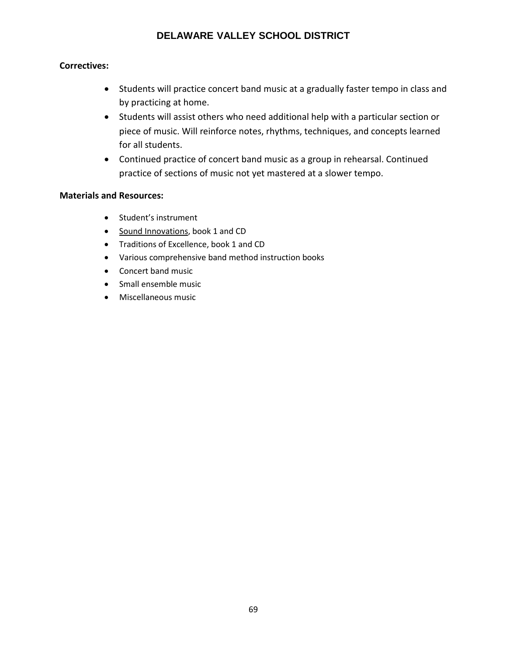# **Correctives:**

- Students will practice concert band music at a gradually faster tempo in class and by practicing at home.
- Students will assist others who need additional help with a particular section or piece of music. Will reinforce notes, rhythms, techniques, and concepts learned for all students.
- Continued practice of concert band music as a group in rehearsal. Continued practice of sections of music not yet mastered at a slower tempo.

- Student's instrument
- Sound Innovations, book 1 and CD
- Traditions of Excellence, book 1 and CD
- Various comprehensive band method instruction books
- Concert band music
- Small ensemble music
- Miscellaneous music